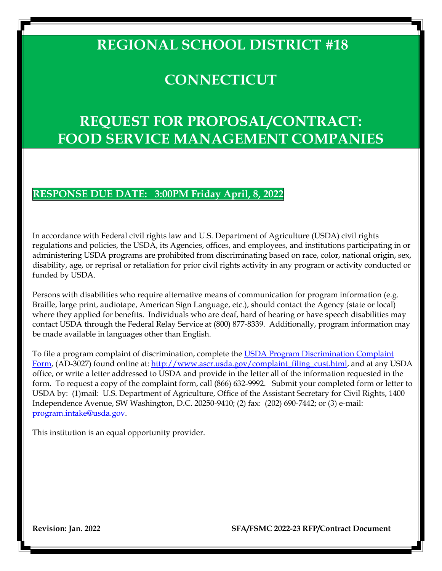# **REGIONAL SCHOOL DISTRICT #18**

# **CONNECTICUT**

# **REQUEST FOR PROPOSAL/CONTRACT: FOOD SERVICE MANAGEMENT COMPANIES**

# **RESPONSE DUE DATE: 3:00PM Friday April, 8, 2022**

In accordance with Federal civil rights law and U.S. Department of Agriculture (USDA) civil rights regulations and policies, the USDA, its Agencies, offices, and employees, and institutions participating in or administering USDA programs are prohibited from discriminating based on race, color, national origin, sex, disability, age, or reprisal or retaliation for prior civil rights activity in any program or activity conducted or funded by USDA.

Persons with disabilities who require alternative means of communication for program information (e.g. Braille, large print, audiotape, American Sign Language, etc.), should contact the Agency (state or local) where they applied for benefits. Individuals who are deaf, hard of hearing or have speech disabilities may contact USDA through the Federal Relay Service at (800) 877-8339. Additionally, program information may be made available in languages other than English.

To file a program complaint of discrimination, complete the [USDA Program Discrimination Complaint](http://www.ocio.usda.gov/sites/default/files/docs/2012/Complain_combined_6_8_12.pdf)  [Form,](http://www.ocio.usda.gov/sites/default/files/docs/2012/Complain_combined_6_8_12.pdf) (AD-3027) found online at: [http://www.ascr.usda.gov/complaint\\_filing\\_cust.html,](http://www.ascr.usda.gov/complaint_filing_cust.html) and at any USDA office, or write a letter addressed to USDA and provide in the letter all of the information requested in the form. To request a copy of the complaint form, call (866) 632-9992. Submit your completed form or letter to USDA by: (1)mail: U.S. Department of Agriculture, Office of the Assistant Secretary for Civil Rights, 1400 Independence Avenue, SW Washington, D.C. 20250-9410; (2) fax: (202) 690-7442; or (3) e-mail: [program.intake@usda.gov.](mailto:program.intake@usda.gov)

This institution is an equal opportunity provider.

**Revision: Jan. 2022 SFA/FSMC 2022-23 RFP/Contract Document**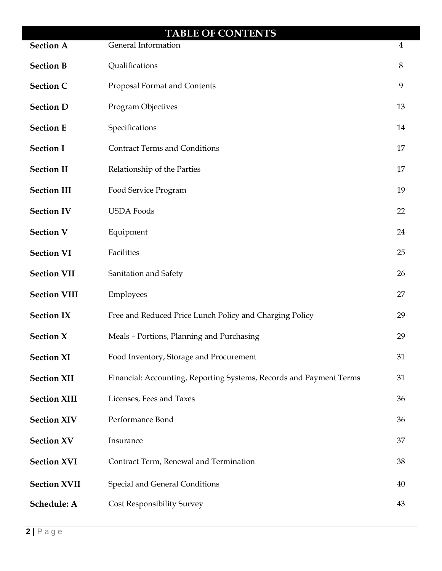| <b>TABLE OF CONTENTS</b> |                                                                     |                |
|--------------------------|---------------------------------------------------------------------|----------------|
| <b>Section A</b>         | General Information                                                 | $\overline{4}$ |
| <b>Section B</b>         | Qualifications                                                      | 8              |
| <b>Section C</b>         | Proposal Format and Contents                                        | 9              |
| <b>Section D</b>         | <b>Program Objectives</b>                                           | 13             |
| <b>Section E</b>         | Specifications                                                      | 14             |
| <b>Section I</b>         | <b>Contract Terms and Conditions</b>                                | 17             |
| <b>Section II</b>        | Relationship of the Parties                                         | 17             |
| <b>Section III</b>       | Food Service Program                                                | 19             |
| <b>Section IV</b>        | <b>USDA Foods</b>                                                   | 22             |
| <b>Section V</b>         | Equipment                                                           | 24             |
| <b>Section VI</b>        | Facilities                                                          | 25             |
| <b>Section VII</b>       | Sanitation and Safety                                               | 26             |
| <b>Section VIII</b>      | Employees                                                           | 27             |
| <b>Section IX</b>        | Free and Reduced Price Lunch Policy and Charging Policy             | 29             |
| <b>Section X</b>         | Meals - Portions, Planning and Purchasing                           | 29             |
| <b>Section XI</b>        | Food Inventory, Storage and Procurement                             | 31             |
| <b>Section XII</b>       | Financial: Accounting, Reporting Systems, Records and Payment Terms | 31             |
| <b>Section XIII</b>      | Licenses, Fees and Taxes                                            | 36             |
| <b>Section XIV</b>       | Performance Bond                                                    | 36             |
| <b>Section XV</b>        | Insurance                                                           | 37             |
| <b>Section XVI</b>       | Contract Term, Renewal and Termination                              | 38             |
| <b>Section XVII</b>      | Special and General Conditions                                      | 40             |
| Schedule: A              | <b>Cost Responsibility Survey</b>                                   | 43             |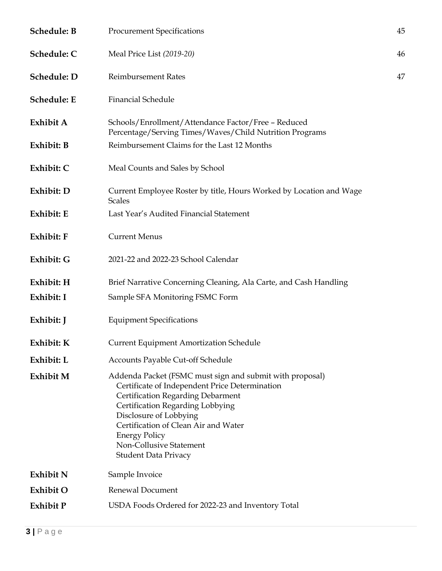| <b>Schedule: B</b> | <b>Procurement Specifications</b>                                                                                                                                                                                                                                                                                                       | 45 |
|--------------------|-----------------------------------------------------------------------------------------------------------------------------------------------------------------------------------------------------------------------------------------------------------------------------------------------------------------------------------------|----|
| Schedule: C        | Meal Price List (2019-20)                                                                                                                                                                                                                                                                                                               | 46 |
| <b>Schedule: D</b> | <b>Reimbursement Rates</b>                                                                                                                                                                                                                                                                                                              | 47 |
| <b>Schedule: E</b> | <b>Financial Schedule</b>                                                                                                                                                                                                                                                                                                               |    |
| Exhibit A          | Schools/Enrollment/Attendance Factor/Free - Reduced<br>Percentage/Serving Times/Waves/Child Nutrition Programs                                                                                                                                                                                                                          |    |
| Exhibit: B         | Reimbursement Claims for the Last 12 Months                                                                                                                                                                                                                                                                                             |    |
| Exhibit: C         | Meal Counts and Sales by School                                                                                                                                                                                                                                                                                                         |    |
| Exhibit: D         | Current Employee Roster by title, Hours Worked by Location and Wage<br><b>Scales</b>                                                                                                                                                                                                                                                    |    |
| Exhibit: E         | Last Year's Audited Financial Statement                                                                                                                                                                                                                                                                                                 |    |
| Exhibit: F         | <b>Current Menus</b>                                                                                                                                                                                                                                                                                                                    |    |
| Exhibit: G         | 2021-22 and 2022-23 School Calendar                                                                                                                                                                                                                                                                                                     |    |
| Exhibit: H         | Brief Narrative Concerning Cleaning, Ala Carte, and Cash Handling                                                                                                                                                                                                                                                                       |    |
| Exhibit: I         | Sample SFA Monitoring FSMC Form                                                                                                                                                                                                                                                                                                         |    |
| Exhibit: J         | <b>Equipment Specifications</b>                                                                                                                                                                                                                                                                                                         |    |
| Exhibit: K         | <b>Current Equipment Amortization Schedule</b>                                                                                                                                                                                                                                                                                          |    |
| Exhibit: L         | Accounts Payable Cut-off Schedule                                                                                                                                                                                                                                                                                                       |    |
| Exhibit M          | Addenda Packet (FSMC must sign and submit with proposal)<br>Certificate of Independent Price Determination<br>Certification Regarding Debarment<br>Certification Regarding Lobbying<br>Disclosure of Lobbying<br>Certification of Clean Air and Water<br><b>Energy Policy</b><br>Non-Collusive Statement<br><b>Student Data Privacy</b> |    |
| Exhibit N          | Sample Invoice                                                                                                                                                                                                                                                                                                                          |    |
| Exhibit O          | Renewal Document                                                                                                                                                                                                                                                                                                                        |    |
| <b>Exhibit P</b>   | USDA Foods Ordered for 2022-23 and Inventory Total                                                                                                                                                                                                                                                                                      |    |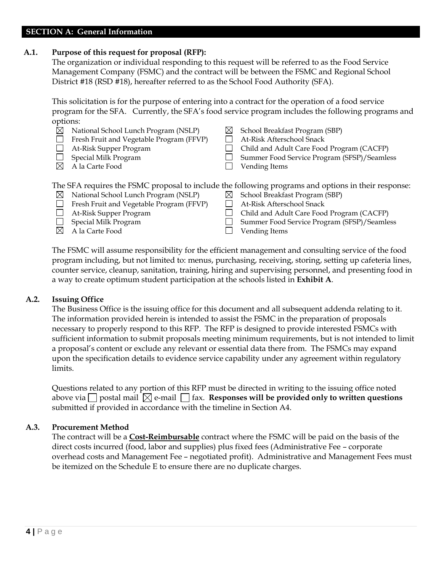#### **SECTION A: General Information**

#### **A.1. Purpose of this request for proposal (RFP):**

The organization or individual responding to this request will be referred to as the Food Service Management Company (FSMC) and the contract will be between the FSMC and Regional School District #18 (RSD #18), hereafter referred to as the School Food Authority (SFA).

This solicitation is for the purpose of entering into a contract for the operation of a food service program for the SFA. Currently, the SFA's food service program includes the following programs and options:

- $\boxtimes$  National School Lunch Program (NSLP)  $\boxtimes$  School Breakfast Program (SBP)  $\Box$ Fresh Fruit and Vegetable Program (FFVP)  $\Box$  At-Risk Afterschool Snack At-Risk Supper Program Child and Adult Care Food Program (CACFP)  $\Box$ Special Milk Program Summer Food Service Program (SFSP)/Seamless  $\boxtimes$  A la Carte Food  $\Box$  Vending Items The SFA requires the FSMC proposal to include the following programs and options in their response:
- $\boxtimes$  National School Lunch Program (NSLP)  $\boxtimes$  School Breakfast Program (SBP)  $\Box$  Fresh Fruit and Vegetable Program (FFVP)  $\Box$  At-Risk Afterschool Snack  $\Box$ At-Risk Supper Program  $\Box$  Child and Adult Care Food Program (CACFP) □ Special Milk Program Summer Food Service Program (SFSP)/Seamless  $\boxtimes$  A la Carte Food  $\Box$  Vending Items

The FSMC will assume responsibility for the efficient management and consulting service of the food program including, but not limited to: menus, purchasing, receiving, storing, setting up cafeteria lines, counter service, cleanup, sanitation, training, hiring and supervising personnel, and presenting food in a way to create optimum student participation at the schools listed in **Exhibit A**.

#### **A.2. Issuing Office**

The Business Office is the issuing office for this document and all subsequent addenda relating to it. The information provided herein is intended to assist the FSMC in the preparation of proposals necessary to properly respond to this RFP. The RFP is designed to provide interested FSMCs with sufficient information to submit proposals meeting minimum requirements, but is not intended to limit a proposal's content or exclude any relevant or essential data there from. The FSMCs may expand upon the specification details to evidence service capability under any agreement within regulatory limits.

Questions related to any portion of this RFP must be directed in writing to the issuing office noted above via postal mail  $\boxtimes$  e-mail **e** fax. **Responses will be provided only to written questions** submitted if provided in accordance with the timeline in Section A4.

#### **A.3. Procurement Method**

The contract will be a **Cost-Reimbursable** contract where the FSMC will be paid on the basis of the direct costs incurred (food, labor and supplies) plus fixed fees (Administrative Fee – corporate overhead costs and Management Fee – negotiated profit). Administrative and Management Fees must be itemized on the Schedule E to ensure there are no duplicate charges.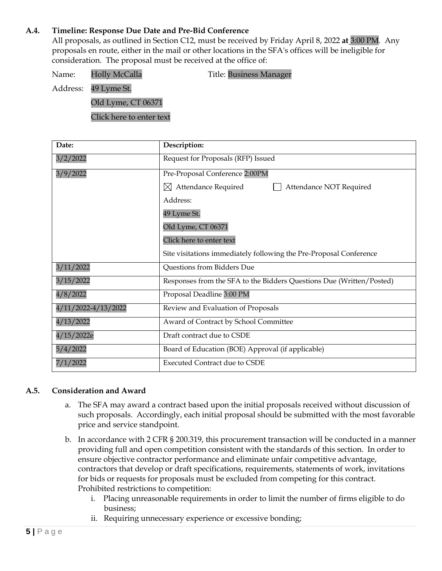## **A.4. Timeline: Response Due Date and Pre-Bid Conference**

All proposals, as outlined in Section C12, must be received by Friday April 8, 2022 **at** 3:00 PM. Any proposals en route, either in the mail or other locations in the SFA's offices will be ineligible for consideration. The proposal must be received at the office of:

Name: Holly McCalla Title: Business Manager

Address: 49 Lyme St.

Old Lyme, CT 06371

Click here to enter text

| Date:               | Description:                                                         |  |
|---------------------|----------------------------------------------------------------------|--|
| 3/2/2022            | Request for Proposals (RFP) Issued                                   |  |
| 3/9/2022            | Pre-Proposal Conference 2:00PM                                       |  |
|                     | $\boxtimes$ Attendance Required<br>Attendance NOT Required           |  |
|                     | Address:                                                             |  |
|                     | 49 Lyme St.                                                          |  |
|                     | Old Lyme, CT 06371                                                   |  |
|                     | Click here to enter text                                             |  |
|                     | Site visitations immediately following the Pre-Proposal Conference   |  |
| 3/11/2022           | Questions from Bidders Due                                           |  |
| 3/15/2022           | Responses from the SFA to the Bidders Questions Due (Written/Posted) |  |
| 4/8/2022            | Proposal Deadline 3:00 PM                                            |  |
| 4/11/2022-4/13/2022 | Review and Evaluation of Proposals                                   |  |
| 4/13/2022           | Award of Contract by School Committee                                |  |
| 4/15/2022e          | Draft contract due to CSDE                                           |  |
| 5/4/2022            | Board of Education (BOE) Approval (if applicable)                    |  |
| 7/1/2022            | Executed Contract due to CSDE                                        |  |

#### **A.5. Consideration and Award**

- a. The SFA may award a contract based upon the initial proposals received without discussion of such proposals. Accordingly, each initial proposal should be submitted with the most favorable price and service standpoint.
- b. In accordance with 2 CFR § 200.319, this procurement transaction will be conducted in a manner providing full and open competition consistent with the standards of this section. In order to ensure objective contractor performance and eliminate unfair competitive advantage, contractors that develop or draft specifications, requirements, statements of work, invitations for bids or requests for proposals must be excluded from competing for this contract. Prohibited restrictions to competition:
	- i. Placing unreasonable requirements in order to limit the number of firms eligible to do business;
	- ii. Requiring unnecessary experience or excessive bonding;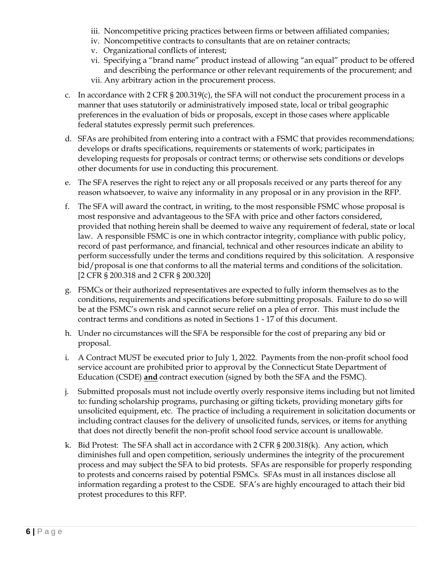- iii. Noncompetitive pricing practices between firms or between affiliated companies;
- iv. Noncompetitive contracts to consultants that are on retainer contracts;
- v. Organizational conflicts of interest;
- vi. Specifying a "brand name" product instead of allowing "an equal" product to be offered and describing the performance or other relevant requirements of the procurement; and
- vii. Any arbitrary action in the procurement process.
- c. In accordance with 2 CFR § 200.319(c), the SFA will not conduct the procurement process in a manner that uses statutorily or administratively imposed state, local or tribal geographic preferences in the evaluation of bids or proposals, except in those cases where applicable federal statutes expressly permit such preferences.
- d. SFAs are prohibited from entering into a contract with a FSMC that provides recommendations; develops or drafts specifications, requirements or statements of work; participates in developing requests for proposals or contract terms; or otherwise sets conditions or develops other documents for use in conducting this procurement.
- e. The SFA reserves the right to reject any or all proposals received or any parts thereof for any reason whatsoever, to waive any informality in any proposal or in any provision in the RFP.
- f. The SFA will award the contract, in writing, to the most responsible FSMC whose proposal is most responsive and advantageous to the SFA with price and other factors considered, provided that nothing herein shall be deemed to waive any requirement of federal, state or local law. A responsible FSMC is one in which contractor integrity, compliance with public policy, record of past performance, and financial, technical and other resources indicate an ability to perform successfully under the terms and conditions required by this solicitation. A responsive bid/proposal is one that conforms to all the material terms and conditions of the solicitation. [2 CFR § 200.318 and 2 CFR § 200.320]
- g. FSMCs or their authorized representatives are expected to fully inform themselves as to the conditions, requirements and specifications before submitting proposals. Failure to do so will be at the FSMC's own risk and cannot secure relief on a plea of error. This must include the contract terms and conditions as noted in Sections 1 - 17 of this document.
- h. Under no circumstances will the SFA be responsible for the cost of preparing any bid or proposal.
- i. A Contract MUST be executed prior to July 1, 2022. Payments from the non-profit school food service account are prohibited prior to approval by the Connecticut State Department of Education (CSDE) **and** contract execution (signed by both the SFA and the FSMC).
- j. Submitted proposals must not include overtly overly responsive items including but not limited to: funding scholarship programs, purchasing or gifting tickets, providing monetary gifts for unsolicited equipment, etc. The practice of including a requirement in solicitation documents or including contract clauses for the delivery of unsolicited funds, services, or items for anything that does not directly benefit the non-profit school food service account is unallowable.
- k. Bid Protest: The SFA shall act in accordance with 2 CFR § 200.318(k). Any action, which diminishes full and open competition, seriously undermines the integrity of the procurement process and may subject the SFA to bid protests. SFAs are responsible for properly responding to protests and concerns raised by potential FSMCs. SFAs must in all instances disclose all information regarding a protest to the CSDE. SFA's are highly encouraged to attach their bid protest procedures to this RFP.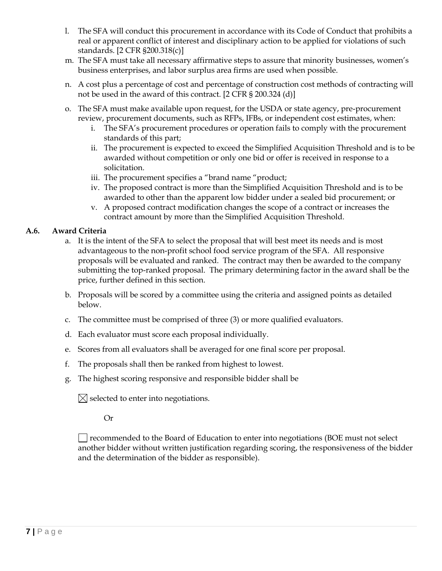- l. The SFA will conduct this procurement in accordance with its Code of Conduct that prohibits a real or apparent conflict of interest and disciplinary action to be applied for violations of such standards. [2 CFR §200.318(c)]
- m. The SFA must take all necessary affirmative steps to assure that minority businesses, women's business enterprises, and labor surplus area firms are used when possible.
- n. A cost plus a percentage of cost and percentage of construction cost methods of contracting will not be used in the award of this contract. [2 CFR § 200.324 (d)]
- o. The SFA must make available upon request, for the USDA or state agency, pre-procurement review, procurement documents, such as RFPs, IFBs, or independent cost estimates, when:
	- i. The SFA's procurement procedures or operation fails to comply with the procurement standards of this part;
	- ii. The procurement is expected to exceed the Simplified Acquisition Threshold and is to be awarded without competition or only one bid or offer is received in response to a solicitation.
	- iii. The procurement specifies a "brand name "product;
	- iv. The proposed contract is more than the Simplified Acquisition Threshold and is to be awarded to other than the apparent low bidder under a sealed bid procurement; or
	- v. A proposed contract modification changes the scope of a contract or increases the contract amount by more than the Simplified Acquisition Threshold.

# **A.6. Award Criteria**

- a. It is the intent of the SFA to select the proposal that will best meet its needs and is most advantageous to the non-profit school food service program of the SFA. All responsive proposals will be evaluated and ranked. The contract may then be awarded to the company submitting the top-ranked proposal. The primary determining factor in the award shall be the price, further defined in this section.
- b. Proposals will be scored by a committee using the criteria and assigned points as detailed below.
- c. The committee must be comprised of three (3) or more qualified evaluators.
- d. Each evaluator must score each proposal individually.
- e. Scores from all evaluators shall be averaged for one final score per proposal.
- f. The proposals shall then be ranked from highest to lowest.
- g. The highest scoring responsive and responsible bidder shall be

 $\boxtimes$  selected to enter into negotiations.

# Or

 $\Box$  recommended to the Board of Education to enter into negotiations (BOE must not select another bidder without written justification regarding scoring, the responsiveness of the bidder and the determination of the bidder as responsible).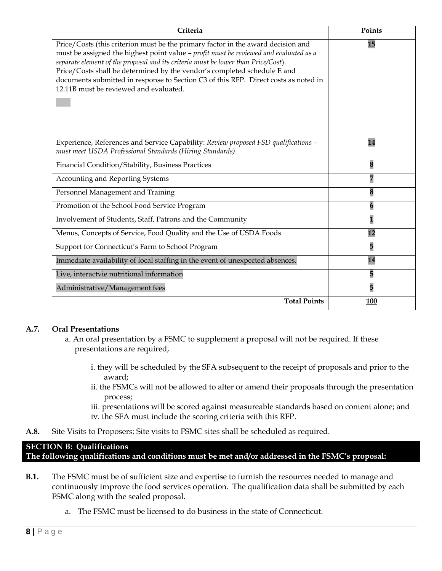| Criteria                                                                                                                                                                                                                                                                                                                                                                                                                                                                    | Points     |
|-----------------------------------------------------------------------------------------------------------------------------------------------------------------------------------------------------------------------------------------------------------------------------------------------------------------------------------------------------------------------------------------------------------------------------------------------------------------------------|------------|
| Price/Costs (this criterion must be the primary factor in the award decision and<br>must be assigned the highest point value - profit must be reviewed and evaluated as a<br>separate element of the proposal and its criteria must be lower than Price/Cost).<br>Price/Costs shall be determined by the vendor's completed schedule E and<br>documents submitted in response to Section C3 of this RFP. Direct costs as noted in<br>12.11B must be reviewed and evaluated. | 15         |
| Experience, References and Service Capability: Review proposed FSD qualifications -<br>must meet USDA Professional Standards (Hiring Standards)                                                                                                                                                                                                                                                                                                                             | 14         |
| Financial Condition/Stability, Business Practices                                                                                                                                                                                                                                                                                                                                                                                                                           | 8          |
| Accounting and Reporting Systems                                                                                                                                                                                                                                                                                                                                                                                                                                            | 7          |
| Personnel Management and Training                                                                                                                                                                                                                                                                                                                                                                                                                                           | 8          |
| Promotion of the School Food Service Program                                                                                                                                                                                                                                                                                                                                                                                                                                | 6          |
| Involvement of Students, Staff, Patrons and the Community                                                                                                                                                                                                                                                                                                                                                                                                                   | 1          |
| Menus, Concepts of Service, Food Quality and the Use of USDA Foods                                                                                                                                                                                                                                                                                                                                                                                                          | 12         |
| Support for Connecticut's Farm to School Program                                                                                                                                                                                                                                                                                                                                                                                                                            | 5          |
| Immediate availability of local staffing in the event of unexpected absences.                                                                                                                                                                                                                                                                                                                                                                                               | 14         |
| Live, interactvie nutritional information                                                                                                                                                                                                                                                                                                                                                                                                                                   | 5          |
| Administrative/Management fees                                                                                                                                                                                                                                                                                                                                                                                                                                              | 5          |
| <b>Total Points</b>                                                                                                                                                                                                                                                                                                                                                                                                                                                         | <b>100</b> |

# **A.7. Oral Presentations**

- a. An oral presentation by a FSMC to supplement a proposal will not be required. If these presentations are required,
	- i. they will be scheduled by the SFA subsequent to the receipt of proposals and prior to the award;
	- ii. the FSMCs will not be allowed to alter or amend their proposals through the presentation process;
	- iii. presentations will be scored against measureable standards based on content alone; and iv. the SFA must include the scoring criteria with this RFP.
- **A.8.** Site Visits to Proposers: Site visits to FSMC sites shall be scheduled as required.

# **SECTION B: Qualifications The following qualifications and conditions must be met and/or addressed in the FSMC's proposal:**

- **B.1.** The FSMC must be of sufficient size and expertise to furnish the resources needed to manage and continuously improve the food services operation. The qualification data shall be submitted by each FSMC along with the sealed proposal.
	- a. The FSMC must be licensed to do business in the state of Connecticut.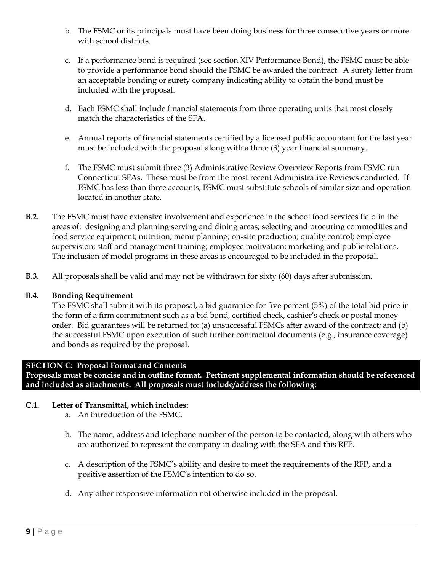- b. The FSMC or its principals must have been doing business for three consecutive years or more with school districts.
- c. If a performance bond is required (see section XIV Performance Bond), the FSMC must be able to provide a performance bond should the FSMC be awarded the contract. A surety letter from an acceptable bonding or surety company indicating ability to obtain the bond must be included with the proposal.
- d. Each FSMC shall include financial statements from three operating units that most closely match the characteristics of the SFA.
- e. Annual reports of financial statements certified by a licensed public accountant for the last year must be included with the proposal along with a three (3) year financial summary.
- f. The FSMC must submit three (3) Administrative Review Overview Reports from FSMC run Connecticut SFAs. These must be from the most recent Administrative Reviews conducted. If FSMC has less than three accounts, FSMC must substitute schools of similar size and operation located in another state.
- **B.2.** The FSMC must have extensive involvement and experience in the school food services field in the areas of: designing and planning serving and dining areas; selecting and procuring commodities and food service equipment; nutrition; menu planning; on-site production; quality control; employee supervision; staff and management training; employee motivation; marketing and public relations. The inclusion of model programs in these areas is encouraged to be included in the proposal.
- **B.3.** All proposals shall be valid and may not be withdrawn for sixty (60) days after submission.

# **B.4. Bonding Requirement**

The FSMC shall submit with its proposal, a bid guarantee for five percent (5%) of the total bid price in the form of a firm commitment such as a bid bond, certified check, cashier's check or postal money order. Bid guarantees will be returned to: (a) unsuccessful FSMCs after award of the contract; and (b) the successful FSMC upon execution of such further contractual documents (e.g., insurance coverage) and bonds as required by the proposal.

# **SECTION C: Proposal Format and Contents**

**Proposals must be concise and in outline format. Pertinent supplemental information should be referenced and included as attachments. All proposals must include/address the following:**

# **C.1. Letter of Transmittal, which includes:**

- a. An introduction of the FSMC.
- b. The name, address and telephone number of the person to be contacted, along with others who are authorized to represent the company in dealing with the SFA and this RFP.
- c. A description of the FSMC's ability and desire to meet the requirements of the RFP, and a positive assertion of the FSMC's intention to do so.
- d. Any other responsive information not otherwise included in the proposal.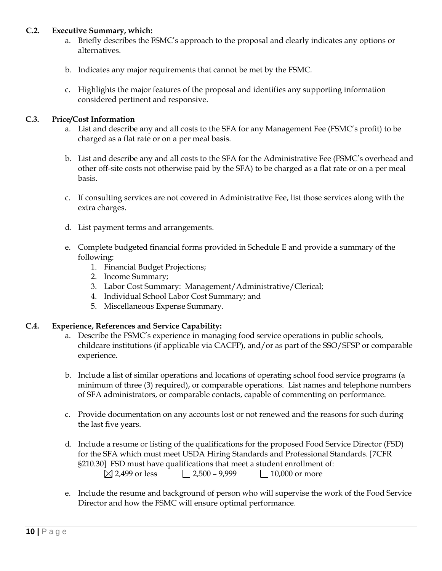## **C.2. Executive Summary, which:**

- a. Briefly describes the FSMC's approach to the proposal and clearly indicates any options or alternatives.
- b. Indicates any major requirements that cannot be met by the FSMC.
- c. Highlights the major features of the proposal and identifies any supporting information considered pertinent and responsive.

# **C.3. Price/Cost Information**

- a. List and describe any and all costs to the SFA for any Management Fee (FSMC's profit) to be charged as a flat rate or on a per meal basis.
- b. List and describe any and all costs to the SFA for the Administrative Fee (FSMC's overhead and other off-site costs not otherwise paid by the SFA) to be charged as a flat rate or on a per meal basis.
- c. If consulting services are not covered in Administrative Fee, list those services along with the extra charges.
- d. List payment terms and arrangements.
- e. Complete budgeted financial forms provided in Schedule E and provide a summary of the following:
	- 1. Financial Budget Projections;
	- 2. Income Summary;
	- 3. Labor Cost Summary: Management/Administrative/Clerical;
	- 4. Individual School Labor Cost Summary; and
	- 5. Miscellaneous Expense Summary.

#### **C.4. Experience, References and Service Capability:**

- a. Describe the FSMC's experience in managing food service operations in public schools, childcare institutions (if applicable via CACFP), and/or as part of the SSO/SFSP or comparable experience.
- b. Include a list of similar operations and locations of operating school food service programs (a minimum of three (3) required), or comparable operations. List names and telephone numbers of SFA administrators, or comparable contacts, capable of commenting on performance.
- c. Provide documentation on any accounts lost or not renewed and the reasons for such during the last five years.
- d. Include a resume or listing of the qualifications for the proposed Food Service Director (FSD) for the SFA which must meet USDA Hiring Standards and Professional Standards. [7CFR §210.30] FSD must have qualifications that meet a student enrollment of:  $\boxtimes$  2,499 or less 2,500 – 9,999 10,000 or more
- e. Include the resume and background of person who will supervise the work of the Food Service Director and how the FSMC will ensure optimal performance.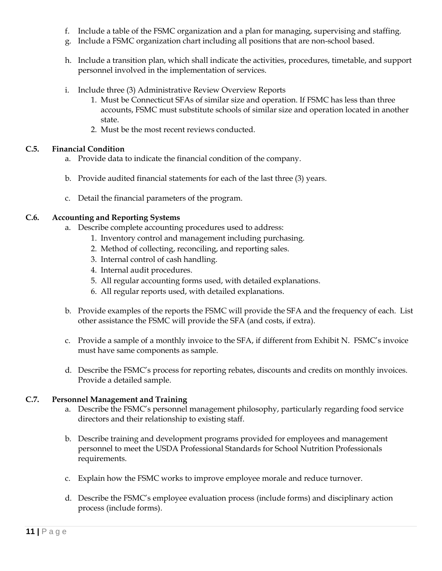- f. Include a table of the FSMC organization and a plan for managing, supervising and staffing.
- g. Include a FSMC organization chart including all positions that are non-school based.
- h. Include a transition plan, which shall indicate the activities, procedures, timetable, and support personnel involved in the implementation of services.
- i. Include three (3) Administrative Review Overview Reports
	- 1. Must be Connecticut SFAs of similar size and operation. If FSMC has less than three accounts, FSMC must substitute schools of similar size and operation located in another state.
	- 2. Must be the most recent reviews conducted.

# **C.5. Financial Condition**

- a. Provide data to indicate the financial condition of the company.
- b. Provide audited financial statements for each of the last three (3) years.
- c. Detail the financial parameters of the program.

# **C.6. Accounting and Reporting Systems**

- a. Describe complete accounting procedures used to address:
	- 1. Inventory control and management including purchasing.
	- 2. Method of collecting, reconciling, and reporting sales.
	- 3. Internal control of cash handling.
	- 4. Internal audit procedures.
	- 5. All regular accounting forms used, with detailed explanations.
	- 6. All regular reports used, with detailed explanations.
- b. Provide examples of the reports the FSMC will provide the SFA and the frequency of each. List other assistance the FSMC will provide the SFA (and costs, if extra).
- c. Provide a sample of a monthly invoice to the SFA, if different from Exhibit N. FSMC's invoice must have same components as sample.
- d. Describe the FSMC's process for reporting rebates, discounts and credits on monthly invoices. Provide a detailed sample.

# **C.7. Personnel Management and Training**

- a. Describe the FSMC's personnel management philosophy, particularly regarding food service directors and their relationship to existing staff.
- b. Describe training and development programs provided for employees and management personnel to meet the USDA Professional Standards for School Nutrition Professionals requirements.
- c. Explain how the FSMC works to improve employee morale and reduce turnover.
- d. Describe the FSMC's employee evaluation process (include forms) and disciplinary action process (include forms).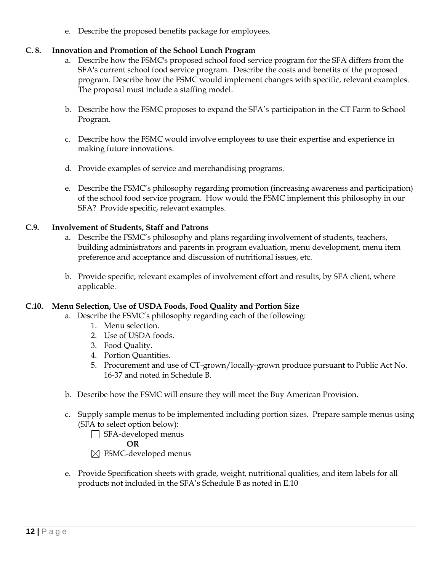e. Describe the proposed benefits package for employees.

# **C. 8. Innovation and Promotion of the School Lunch Program**

- a. Describe how the FSMC's proposed school food service program for the SFA differs from the SFA's current school food service program. Describe the costs and benefits of the proposed program. Describe how the FSMC would implement changes with specific, relevant examples. The proposal must include a staffing model.
- b. Describe how the FSMC proposes to expand the SFA's participation in the CT Farm to School Program.
- c. Describe how the FSMC would involve employees to use their expertise and experience in making future innovations.
- d. Provide examples of service and merchandising programs.
- e. Describe the FSMC's philosophy regarding promotion (increasing awareness and participation) of the school food service program. How would the FSMC implement this philosophy in our SFA? Provide specific, relevant examples.

# **C.9. Involvement of Students, Staff and Patrons**

- a. Describe the FSMC's philosophy and plans regarding involvement of students, teachers, building administrators and parents in program evaluation, menu development, menu item preference and acceptance and discussion of nutritional issues, etc.
- b. Provide specific, relevant examples of involvement effort and results, by SFA client, where applicable.

# **C.10. Menu Selection, Use of USDA Foods, Food Quality and Portion Size**

- a. Describe the FSMC's philosophy regarding each of the following:
	- 1. Menu selection.
	- 2. Use of USDA foods.
	- 3. Food Quality.
	- 4. Portion Quantities.
	- 5. Procurement and use of CT-grown/locally-grown produce pursuant to Public Act No. 16-37 and noted in Schedule B.
- b. Describe how the FSMC will ensure they will meet the Buy American Provision.
- c. Supply sample menus to be implemented including portion sizes. Prepare sample menus using (SFA to select option below):
	- SFA-developed menus

**OR**

 $\boxtimes$  FSMC-developed menus

e. Provide Specification sheets with grade, weight, nutritional qualities, and item labels for all products not included in the SFA's Schedule B as noted in E.10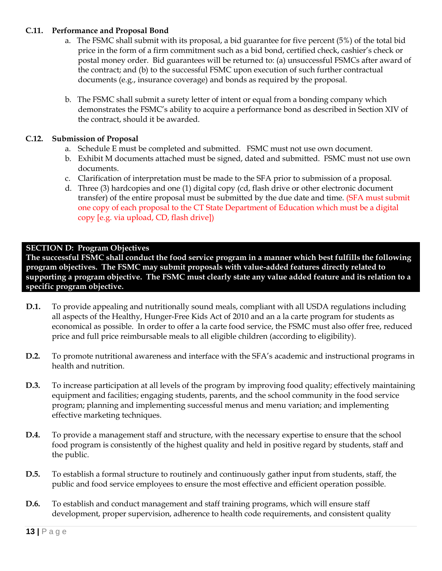# **C.11. Performance and Proposal Bond**

- a. The FSMC shall submit with its proposal, a bid guarantee for five percent (5%) of the total bid price in the form of a firm commitment such as a bid bond, certified check, cashier's check or postal money order. Bid guarantees will be returned to: (a) unsuccessful FSMCs after award of the contract; and (b) to the successful FSMC upon execution of such further contractual documents (e.g., insurance coverage) and bonds as required by the proposal.
- b. The FSMC shall submit a surety letter of intent or equal from a bonding company which demonstrates the FSMC's ability to acquire a performance bond as described in Section XIV of the contract, should it be awarded.

# **C.12. Submission of Proposal**

- a. Schedule E must be completed and submitted. FSMC must not use own document.
- b. Exhibit M documents attached must be signed, dated and submitted. FSMC must not use own documents.
- c. Clarification of interpretation must be made to the SFA prior to submission of a proposal.
- d. Three (3) hardcopies and one (1) digital copy (cd, flash drive or other electronic document transfer) of the entire proposal must be submitted by the due date and time. (SFA must submit one copy of each proposal to the CT State Department of Education which must be a digital copy [e.g. via upload, CD, flash drive])

### **SECTION D: Program Objectives**

**The successful FSMC shall conduct the food service program in a manner which best fulfills the following program objectives. The FSMC may submit proposals with value-added features directly related to supporting a program objective. The FSMC must clearly state any value added feature and its relation to a specific program objective.**

- **D.1.** To provide appealing and nutritionally sound meals, compliant with all USDA regulations including all aspects of the Healthy, Hunger-Free Kids Act of 2010 and an a la carte program for students as economical as possible. In order to offer a la carte food service, the FSMC must also offer free, reduced price and full price reimbursable meals to all eligible children (according to eligibility).
- **D.2.** To promote nutritional awareness and interface with the SFA's academic and instructional programs in health and nutrition.
- **D.3.** To increase participation at all levels of the program by improving food quality; effectively maintaining equipment and facilities; engaging students, parents, and the school community in the food service program; planning and implementing successful menus and menu variation; and implementing effective marketing techniques.
- **D.4.** To provide a management staff and structure, with the necessary expertise to ensure that the school food program is consistently of the highest quality and held in positive regard by students, staff and the public.
- **D.5.** To establish a formal structure to routinely and continuously gather input from students, staff, the public and food service employees to ensure the most effective and efficient operation possible.
- **D.6.** To establish and conduct management and staff training programs, which will ensure staff development, proper supervision, adherence to health code requirements, and consistent quality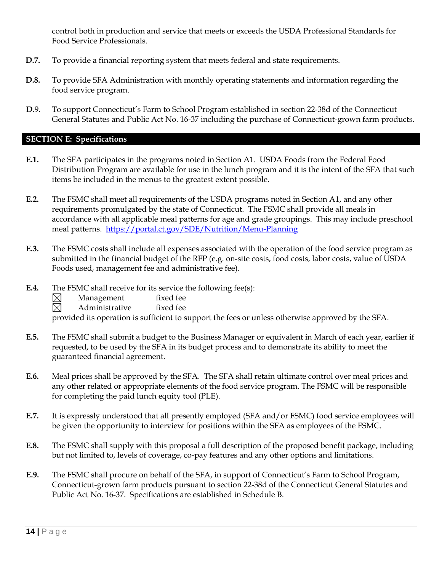control both in production and service that meets or exceeds the USDA Professional Standards for Food Service Professionals.

- **D.7.** To provide a financial reporting system that meets federal and state requirements.
- **D.8.** To provide SFA Administration with monthly operating statements and information regarding the food service program.
- **D.**9. To support Connecticut's Farm to School Program established in section 22-38d of the Connecticut General Statutes and Public Act No. 16-37 including the purchase of Connecticut-grown farm products.

## **SECTION E: Specifications**

- **E.1.** The SFA participates in the programs noted in Section A1. USDA Foods from the Federal Food Distribution Program are available for use in the lunch program and it is the intent of the SFA that such items be included in the menus to the greatest extent possible.
- **E.2.** The FSMC shall meet all requirements of the USDA programs noted in Section A1, and any other requirements promulgated by the state of Connecticut. The FSMC shall provide all meals in accordance with all applicable meal patterns for age and grade groupings. This may include preschool meal patterns.<https://portal.ct.gov/SDE/Nutrition/Menu-Planning>
- **E.3.** The FSMC costs shall include all expenses associated with the operation of the food service program as submitted in the financial budget of the RFP (e.g. on-site costs, food costs, labor costs, value of USDA Foods used, management fee and administrative fee).
- **E.4.** The FSMC shall receive for its service the following fee(s):
	- $\boxtimes$ Management fixed fee
	- $\boxtimes$ Administrative fixed fee

provided its operation is sufficient to support the fees or unless otherwise approved by the SFA.

- **E.5.** The FSMC shall submit a budget to the Business Manager or equivalent in March of each year, earlier if requested, to be used by the SFA in its budget process and to demonstrate its ability to meet the guaranteed financial agreement.
- **E.6.** Meal prices shall be approved by the SFA. The SFA shall retain ultimate control over meal prices and any other related or appropriate elements of the food service program. The FSMC will be responsible for completing the paid lunch equity tool (PLE).
- **E.7.** It is expressly understood that all presently employed (SFA and/or FSMC) food service employees will be given the opportunity to interview for positions within the SFA as employees of the FSMC.
- **E.8.** The FSMC shall supply with this proposal a full description of the proposed benefit package, including but not limited to, levels of coverage, co-pay features and any other options and limitations.
- **E.9.** The FSMC shall procure on behalf of the SFA, in support of Connecticut's Farm to School Program, Connecticut-grown farm products pursuant to section 22-38d of the Connecticut General Statutes and Public Act No. 16-37. Specifications are established in Schedule B.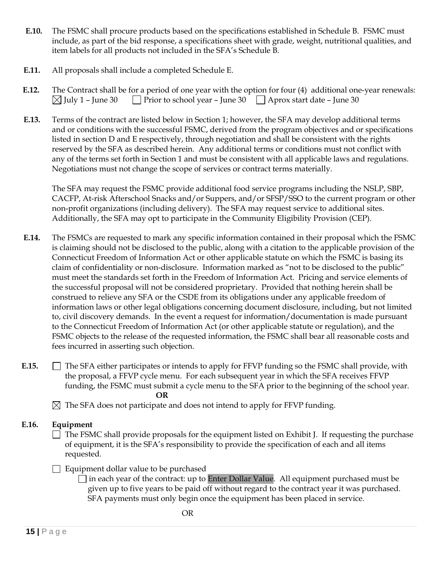- **E.10.** The FSMC shall procure products based on the specifications established in Schedule B. FSMC must include, as part of the bid response, a specifications sheet with grade, weight, nutritional qualities, and item labels for all products not included in the SFA's Schedule B.
- **E.11.** All proposals shall include a completed Schedule E.
- **E.12.** The Contract shall be for a period of one year with the option for four (4) additional one-year renewals:  $\boxtimes$  July 1 – June 30 Prior to school year – June 30 Aprox start date – June 30
- **E.13.** Terms of the contract are listed below in Section 1; however, the SFA may develop additional terms and or conditions with the successful FSMC, derived from the program objectives and or specifications listed in section D and E respectively, through negotiation and shall be consistent with the rights reserved by the SFA as described herein. Any additional terms or conditions must not conflict with any of the terms set forth in Section 1 and must be consistent with all applicable laws and regulations. Negotiations must not change the scope of services or contract terms materially.

The SFA may request the FSMC provide additional food service programs including the NSLP, SBP, CACFP, At-risk Afterschool Snacks and/or Suppers, and/or SFSP/SSO to the current program or other non-profit organizations (including delivery). The SFA may request service to additional sites. Additionally, the SFA may opt to participate in the Community Eligibility Provision (CEP).

- **E.14.** The FSMCs are requested to mark any specific information contained in their proposal which the FSMC is claiming should not be disclosed to the public, along with a citation to the applicable provision of the Connecticut Freedom of Information Act or other applicable statute on which the FSMC is basing its claim of confidentiality or non-disclosure. Information marked as "not to be disclosed to the public" must meet the standards set forth in the Freedom of Information Act. Pricing and service elements of the successful proposal will not be considered proprietary. Provided that nothing herein shall be construed to relieve any SFA or the CSDE from its obligations under any applicable freedom of information laws or other legal obligations concerning document disclosure, including, but not limited to, civil discovery demands. In the event a request for information/documentation is made pursuant to the Connecticut Freedom of Information Act (or other applicable statute or regulation), and the FSMC objects to the release of the requested information, the FSMC shall bear all reasonable costs and fees incurred in asserting such objection.
- **E.15.** The SFA either participates or intends to apply for FFVP funding so the FSMC shall provide, with the proposal, a FFVP cycle menu. For each subsequent year in which the SFA receives FFVP funding, the FSMC must submit a cycle menu to the SFA prior to the beginning of the school year. **OR**
	- $\boxtimes$  The SFA does not participate and does not intend to apply for FFVP funding.

# **E.16. Equipment**

 $\Box$  The FSMC shall provide proposals for the equipment listed on Exhibit J. If requesting the purchase of equipment, it is the SFA's responsibility to provide the specification of each and all items requested.

 $\Box$  Equipment dollar value to be purchased

 $\Box$  in each year of the contract: up to Enter Dollar Value. All equipment purchased must be given up to five years to be paid off without regard to the contract year it was purchased. SFA payments must only begin once the equipment has been placed in service.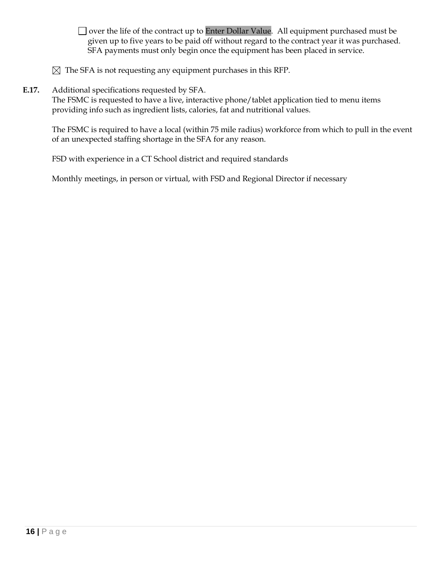$\Box$  over the life of the contract up to Enter Dollar Value. All equipment purchased must be given up to five years to be paid off without regard to the contract year it was purchased. SFA payments must only begin once the equipment has been placed in service.

 $\boxtimes$  The SFA is not requesting any equipment purchases in this RFP.

# **E.17.** Additional specifications requested by SFA.

The FSMC is requested to have a live, interactive phone/tablet application tied to menu items providing info such as ingredient lists, calories, fat and nutritional values.

The FSMC is required to have a local (within 75 mile radius) workforce from which to pull in the event of an unexpected staffing shortage in the SFA for any reason.

FSD with experience in a CT School district and required standards

Monthly meetings, in person or virtual, with FSD and Regional Director if necessary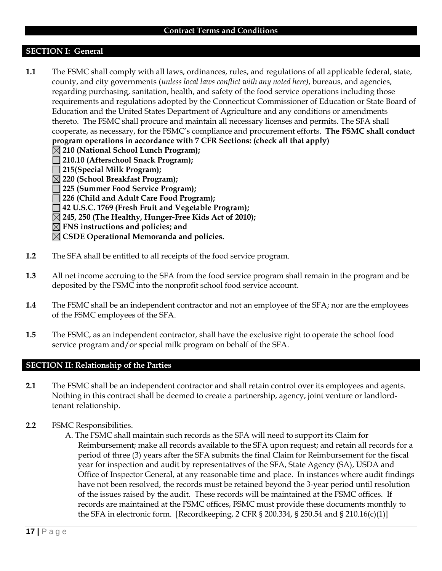#### **SECTION I: General**

**1.1** The FSMC shall comply with all laws, ordinances, rules, and regulations of all applicable federal, state, county, and city governments (*unless local laws conflict with any noted here)*, bureaus, and agencies, regarding purchasing, sanitation, health, and safety of the food service operations including those requirements and regulations adopted by the Connecticut Commissioner of Education or State Board of Education and the United States Department of Agriculture and any conditions or amendments thereto. The FSMC shall procure and maintain all necessary licenses and permits. The SFA shall cooperate, as necessary, for the FSMC's compliance and procurement efforts. **The FSMC shall conduct program operations in accordance with 7 CFR Sections: (check all that apply)** 

**210 (National School Lunch Program);**

- **210.10 (Afterschool Snack Program);**
- **215(Special Milk Program);**
- **220 (School Breakfast Program);**
- **225 (Summer Food Service Program);**
- **226 (Child and Adult Care Food Program);**
- **42 U.S.C. 1769 (Fresh Fruit and Vegetable Program);**
- **245, 250 (The Healthy, Hunger-Free Kids Act of 2010);**
- **FNS instructions and policies; and**
- **CSDE Operational Memoranda and policies.**
- **1.2** The SFA shall be entitled to all receipts of the food service program.
- **1.3** All net income accruing to the SFA from the food service program shall remain in the program and be deposited by the FSMC into the nonprofit school food service account.
- **1.4** The FSMC shall be an independent contractor and not an employee of the SFA; nor are the employees of the FSMC employees of the SFA.
- **1.5** The FSMC, as an independent contractor, shall have the exclusive right to operate the school food service program and/or special milk program on behalf of the SFA.

## **SECTION II: Relationship of the Parties**

- **2.1** The FSMC shall be an independent contractor and shall retain control over its employees and agents. Nothing in this contract shall be deemed to create a partnership, agency, joint venture or landlordtenant relationship.
- **2.2** FSMC Responsibilities.
	- A. The FSMC shall maintain such records as the SFA will need to support its Claim for Reimbursement; make all records available to the SFA upon request; and retain all records for a period of three (3) years after the SFA submits the final Claim for Reimbursement for the fiscal year for inspection and audit by representatives of the SFA, State Agency (SA), USDA and Office of Inspector General, at any reasonable time and place. In instances where audit findings have not been resolved, the records must be retained beyond the 3-year period until resolution of the issues raised by the audit. These records will be maintained at the FSMC offices. If records are maintained at the FSMC offices, FSMC must provide these documents monthly to the SFA in electronic form. [Recordkeeping, 2 CFR  $\S$  200.334,  $\S$  250.54 and  $\S$  210.16(c)(1)]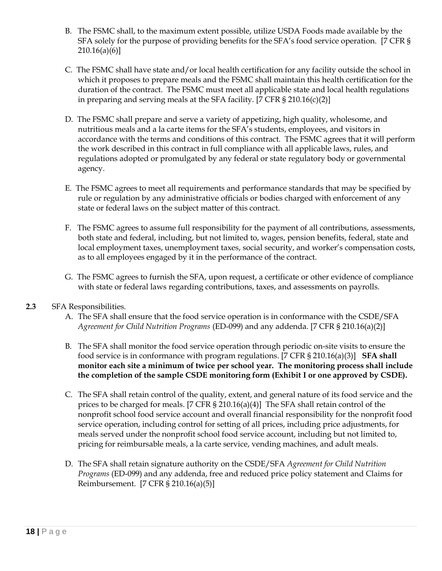- B. The FSMC shall, to the maximum extent possible, utilize USDA Foods made available by the SFA solely for the purpose of providing benefits for the SFA's food service operation. [7 CFR §  $210.16(a)(6)$ ]
- C. The FSMC shall have state and/or local health certification for any facility outside the school in which it proposes to prepare meals and the FSMC shall maintain this health certification for the duration of the contract. The FSMC must meet all applicable state and local health regulations in preparing and serving meals at the SFA facility. [7 CFR § 210.16(c)(2)]
- D. The FSMC shall prepare and serve a variety of appetizing, high quality, wholesome, and nutritious meals and a la carte items for the SFA's students, employees, and visitors in accordance with the terms and conditions of this contract. The FSMC agrees that it will perform the work described in this contract in full compliance with all applicable laws, rules, and regulations adopted or promulgated by any federal or state regulatory body or governmental agency.
- E. The FSMC agrees to meet all requirements and performance standards that may be specified by rule or regulation by any administrative officials or bodies charged with enforcement of any state or federal laws on the subject matter of this contract.
- F. The FSMC agrees to assume full responsibility for the payment of all contributions, assessments, both state and federal, including, but not limited to, wages, pension benefits, federal, state and local employment taxes, unemployment taxes, social security, and worker's compensation costs, as to all employees engaged by it in the performance of the contract.
- G. The FSMC agrees to furnish the SFA, upon request, a certificate or other evidence of compliance with state or federal laws regarding contributions, taxes, and assessments on payrolls.

# **2.3** SFA Responsibilities.

- A. The SFA shall ensure that the food service operation is in conformance with the CSDE/SFA *Agreement for Child Nutrition Programs* (ED-099) and any addenda. [7 CFR § 210.16(a)(2)]
- B. The SFA shall monitor the food service operation through periodic on-site visits to ensure the food service is in conformance with program regulations. [7 CFR § 210.16(a)(3)] **SFA shall monitor each site a minimum of twice per school year. The monitoring process shall include the completion of the sample CSDE monitoring form (Exhibit I or one approved by CSDE).**
- C. The SFA shall retain control of the quality, extent, and general nature of its food service and the prices to be charged for meals. [7 CFR § 210.16(a)(4)] The SFA shall retain control of the nonprofit school food service account and overall financial responsibility for the nonprofit food service operation, including control for setting of all prices, including price adjustments, for meals served under the nonprofit school food service account, including but not limited to, pricing for reimbursable meals, a la carte service, vending machines, and adult meals.
- D. The SFA shall retain signature authority on the CSDE/SFA *Agreement for Child Nutrition Programs* (ED-099) and any addenda, free and reduced price policy statement and Claims for Reimbursement. [7 CFR § 210.16(a)(5)]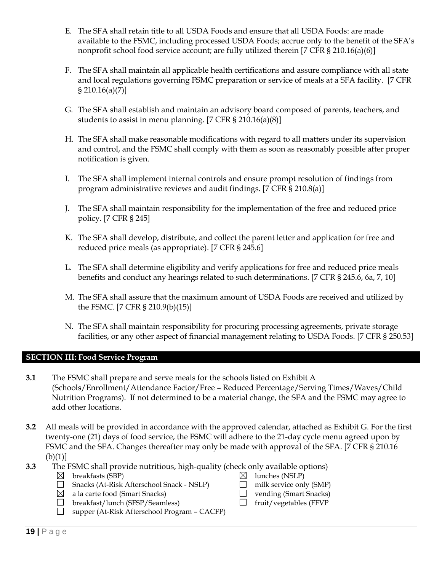- E. The SFA shall retain title to all USDA Foods and ensure that all USDA Foods: are made available to the FSMC, including processed USDA Foods; accrue only to the benefit of the SFA's nonprofit school food service account; are fully utilized therein [7 CFR § 210.16(a)(6)]
- F. The SFA shall maintain all applicable health certifications and assure compliance with all state and local regulations governing FSMC preparation or service of meals at a SFA facility. [7 CFR § 210.16(a)(7)]
- G. The SFA shall establish and maintain an advisory board composed of parents, teachers, and students to assist in menu planning. [7 CFR § 210.16(a)(8)]
- H. The SFA shall make reasonable modifications with regard to all matters under its supervision and control, and the FSMC shall comply with them as soon as reasonably possible after proper notification is given.
- I. The SFA shall implement internal controls and ensure prompt resolution of findings from program administrative reviews and audit findings. [7 CFR § 210.8(a)]
- J. The SFA shall maintain responsibility for the implementation of the free and reduced price policy. [7 CFR § 245]
- K. The SFA shall develop, distribute, and collect the parent letter and application for free and reduced price meals (as appropriate). [7 CFR § 245.6]
- L. The SFA shall determine eligibility and verify applications for free and reduced price meals benefits and conduct any hearings related to such determinations. [7 CFR § 245.6, 6a, 7, 10]
- M. The SFA shall assure that the maximum amount of USDA Foods are received and utilized by the FSMC. [7 CFR § 210.9(b)(15)]
- N. The SFA shall maintain responsibility for procuring processing agreements, private storage facilities, or any other aspect of financial management relating to USDA Foods. [7 CFR § 250.53]

#### **SECTION III: Food Service Program**

- **3.1** The FSMC shall prepare and serve meals for the schools listed on Exhibit A (Schools/Enrollment/Attendance Factor/Free – Reduced Percentage/Serving Times/Waves/Child Nutrition Programs). If not determined to be a material change, the SFA and the FSMC may agree to add other locations.
- **3.2** All meals will be provided in accordance with the approved calendar, attached as Exhibit G. For the first twenty-one (21) days of food service, the FSMC will adhere to the 21-day cycle menu agreed upon by FSMC and the SFA. Changes thereafter may only be made with approval of the SFA. [7 CFR § 210.16  $(b)(1)$ ]
- **3.3** The FSMC shall provide nutritious, high-quality (check only available options)
	- $\boxtimes$  breakfasts (SBP)  $\boxtimes$  lunches (NSLP)
	- $\Box$ Snacks (At-Risk Afterschool Snack - NSLP) milk service only (SMP)
	- $\boxtimes$ a la carte food (Smart Snacks) vending (Smart Snacks)
	- $\Box$ breakfast/lunch (SFSP/Seamless)  $\Box$  fruit/vegetables (FFVP
	- $\Box$ supper (At-Risk Afterschool Program – CACFP)
- 
- 
- 
-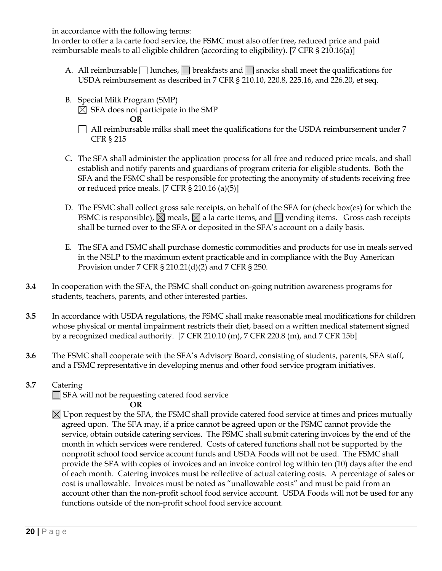in accordance with the following terms:

In order to offer a la carte food service, the FSMC must also offer free, reduced price and paid reimbursable meals to all eligible children (according to eligibility). [7 CFR § 210.16(a)]

- A. All reimbursable  $\Box$  lunches,  $\Box$  breakfasts and  $\Box$  snacks shall meet the qualifications for USDA reimbursement as described in 7 CFR § 210.10, 220.8, 225.16, and 226.20, et seq.
- B. Special Milk Program (SMP)
	- $\boxtimes$  SFA does not participate in the SMP

**OR**

- $\Box$  All reimbursable milks shall meet the qualifications for the USDA reimbursement under 7 CFR § 215
- C. The SFA shall administer the application process for all free and reduced price meals, and shall establish and notify parents and guardians of program criteria for eligible students. Both the SFA and the FSMC shall be responsible for protecting the anonymity of students receiving free or reduced price meals.  $[7 \text{ CFR } $ 210.16 \text{ (a)} 5]$
- D. The FSMC shall collect gross sale receipts, on behalf of the SFA for (check box(es) for which the FSMC is responsible),  $\boxtimes$  meals,  $\boxtimes$  a la carte items, and  $\Box$  vending items. Gross cash receipts shall be turned over to the SFA or deposited in the SFA's account on a daily basis.
- E. The SFA and FSMC shall purchase domestic commodities and products for use in meals served in the NSLP to the maximum extent practicable and in compliance with the Buy American Provision under 7 CFR § 210.21(d)(2) and 7 CFR § 250.
- **3.4** In cooperation with the SFA, the FSMC shall conduct on-going nutrition awareness programs for students, teachers, parents, and other interested parties.
- **3.5** In accordance with USDA regulations, the FSMC shall make reasonable meal modifications for children whose physical or mental impairment restricts their diet, based on a written medical statement signed by a recognized medical authority. [7 CFR 210.10 (m), 7 CFR 220.8 (m), and 7 CFR 15b]
- **3.6** The FSMC shall cooperate with the SFA's Advisory Board, consisting of students, parents, SFA staff, and a FSMC representative in developing menus and other food service program initiatives.
- **3.7** Catering

**□** SFA will not be requesting catered food service

**OR**

 $\boxtimes$  Upon request by the SFA, the FSMC shall provide catered food service at times and prices mutually agreed upon. The SFA may, if a price cannot be agreed upon or the FSMC cannot provide the service, obtain outside catering services. The FSMC shall submit catering invoices by the end of the month in which services were rendered. Costs of catered functions shall not be supported by the nonprofit school food service account funds and USDA Foods will not be used. The FSMC shall provide the SFA with copies of invoices and an invoice control log within ten (10) days after the end of each month. Catering invoices must be reflective of actual catering costs. A percentage of sales or cost is unallowable. Invoices must be noted as "unallowable costs" and must be paid from an account other than the non-profit school food service account. USDA Foods will not be used for any functions outside of the non-profit school food service account.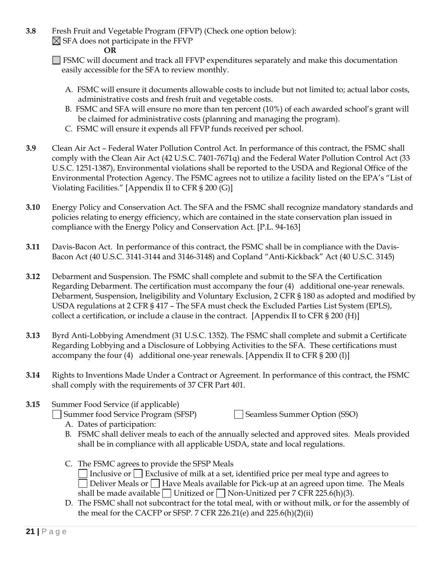**3.8** Fresh Fruit and Vegetable Program (FFVP) (Check one option below):  $\boxtimes$  SFA does not participate in the FFVP

**OR**

FSMC will document and track all FFVP expenditures separately and make this documentation easily accessible for the SFA to review monthly.

- A. FSMC will ensure it documents allowable costs to include but not limited to; actual labor costs, administrative costs and fresh fruit and vegetable costs.
- B. FSMC and SFA will ensure no more than ten percent (10%) of each awarded school's grant will be claimed for administrative costs (planning and managing the program).
- C. FSMC will ensure it expends all FFVP funds received per school.
- **3.9** Clean Air Act Federal Water Pollution Control Act. In performance of this contract, the FSMC shall comply with the Clean Air Act (42 U.S.C. 7401-7671q) and the Federal Water Pollution Control Act (33 U.S.C. 1251-1387), Environmental violations shall be reported to the USDA and Regional Office of the Environmental Protection Agency. The FSMC agrees not to utilize a facility listed on the EPA's "List of Violating Facilities." [Appendix II to CFR § 200 (G)]
- **3.10** Energy Policy and Conservation Act. The SFA and the FSMC shall recognize mandatory standards and policies relating to energy efficiency, which are contained in the state conservation plan issued in compliance with the Energy Policy and Conservation Act. [P.L. 94-163]
- **3.11** Davis-Bacon Act. In performance of this contract, the FSMC shall be in compliance with the Davis-Bacon Act (40 U.S.C. 3141-3144 and 3146-3148) and Copland "Anti-Kickback" Act (40 U.S.C. 3145)
- **3.12** Debarment and Suspension. The FSMC shall complete and submit to the SFA the Certification Regarding Debarment. The certification must accompany the four (4) additional one-year renewals. Debarment, Suspension, Ineligibility and Voluntary Exclusion, 2 CFR § 180 as adopted and modified by USDA regulations at 2 CFR § 417 – The SFA must check the Excluded Parties List System (EPLS), collect a certification, or include a clause in the contract. [Appendix II to CFR § 200 (H)]
- **3.13** Byrd Anti-Lobbying Amendment (31 U.S.C. 1352). The FSMC shall complete and submit a Certificate Regarding Lobbying and a Disclosure of Lobbying Activities to the SFA. These certifications must accompany the four (4) additional one-year renewals. [Appendix II to CFR § 200 (I)]
- **3.14** Rights to Inventions Made Under a Contract or Agreement. In performance of this contract, the FSMC shall comply with the requirements of 37 CFR Part 401.
- **3.15** Summer Food Service (if applicable)
	- Summer food Service Program (SFSP) Seamless Summer Option (SSO) A. Dates of participation:
		- B. FSMC shall deliver meals to each of the annually selected and approved sites. Meals provided shall be in compliance with all applicable USDA, state and local regulations.
		- C. The FSMC agrees to provide the SFSP Meals Inclusive or  $\Box$  Exclusive of milk at a set, identified price per meal type and agrees to  $\Box$  Deliver Meals or  $\Box$  Have Meals available for Pick-up at an agreed upon time. The Meals shall be made available Unitized or  $\Box$  Non-Unitized per 7 CFR 225.6(h)(3).
		- D. The FSMC shall not subcontract for the total meal, with or without milk, or for the assembly of the meal for the CACFP or SFSP. 7 CFR 226.21(e) and 225.6(h)(2)(ii)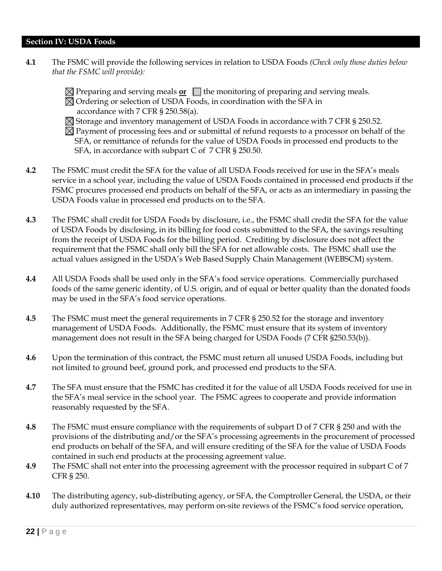#### **Section IV: USDA Foods**

- **4.1** The FSMC will provide the following services in relation to USDA Foods *(Check only those duties below that the FSMC will provide):* 
	- $\boxtimes$  Preparing and serving meals **or**  $\Box$  the monitoring of preparing and serving meals.
	- $\boxtimes$  Ordering or selection of USDA Foods, in coordination with the SFA in accordance with 7 CFR § 250.58(a).
	- $\boxtimes$  Storage and inventory management of USDA Foods in accordance with 7 CFR § 250.52.
	- $\boxtimes$  Payment of processing fees and or submittal of refund requests to a processor on behalf of the SFA, or remittance of refunds for the value of USDA Foods in processed end products to the SFA, in accordance with subpart C of 7 CFR § 250.50.
- **4.2** The FSMC must credit the SFA for the value of all USDA Foods received for use in the SFA's meals service in a school year, including the value of USDA Foods contained in processed end products if the FSMC procures processed end products on behalf of the SFA, or acts as an intermediary in passing the USDA Foods value in processed end products on to the SFA.
- **4.3** The FSMC shall credit for USDA Foods by disclosure, i.e., the FSMC shall credit the SFA for the value of USDA Foods by disclosing, in its billing for food costs submitted to the SFA, the savings resulting from the receipt of USDA Foods for the billing period. Crediting by disclosure does not affect the requirement that the FSMC shall only bill the SFA for net allowable costs. The FSMC shall use the actual values assigned in the USDA's Web Based Supply Chain Management (WEBSCM) system.
- **4.4** All USDA Foods shall be used only in the SFA's food service operations. Commercially purchased foods of the same generic identity, of U.S. origin, and of equal or better quality than the donated foods may be used in the SFA's food service operations.
- **4.5** The FSMC must meet the general requirements in 7 CFR § 250.52 for the storage and inventory management of USDA Foods. Additionally, the FSMC must ensure that its system of inventory management does not result in the SFA being charged for USDA Foods (7 CFR §250.53(b)).
- **4.6** Upon the termination of this contract, the FSMC must return all unused USDA Foods, including but not limited to ground beef, ground pork, and processed end products to the SFA.
- **4.7** The SFA must ensure that the FSMC has credited it for the value of all USDA Foods received for use in the SFA's meal service in the school year. The FSMC agrees to cooperate and provide information reasonably requested by the SFA.
- **4.8** The FSMC must ensure compliance with the requirements of subpart D of 7 CFR § 250 and with the provisions of the distributing and/or the SFA's processing agreements in the procurement of processed end products on behalf of the SFA, and will ensure crediting of the SFA for the value of USDA Foods contained in such end products at the processing agreement value.
- **4.9** The FSMC shall not enter into the processing agreement with the processor required in subpart C of 7 CFR § 250.
- **4.10** The distributing agency, sub-distributing agency, or SFA, the Comptroller General, the USDA, or their duly authorized representatives, may perform on-site reviews of the FSMC's food service operation,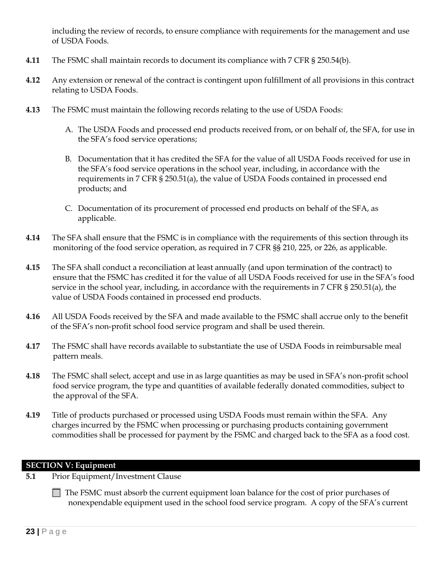including the review of records, to ensure compliance with requirements for the management and use of USDA Foods.

- **4.11** The FSMC shall maintain records to document its compliance with 7 CFR § 250.54(b).
- **4.12** Any extension or renewal of the contract is contingent upon fulfillment of all provisions in this contract relating to USDA Foods.
- **4.13** The FSMC must maintain the following records relating to the use of USDA Foods:
	- A. The USDA Foods and processed end products received from, or on behalf of, the SFA, for use in the SFA's food service operations;
	- B. Documentation that it has credited the SFA for the value of all USDA Foods received for use in the SFA's food service operations in the school year, including, in accordance with the requirements in 7 CFR § 250.51(a), the value of USDA Foods contained in processed end products; and
	- C. Documentation of its procurement of processed end products on behalf of the SFA, as applicable.
- **4.14** The SFA shall ensure that the FSMC is in compliance with the requirements of this section through its monitoring of the food service operation, as required in 7 CFR §§ 210, 225, or 226, as applicable.
- **4.15** The SFA shall conduct a reconciliation at least annually (and upon termination of the contract) to ensure that the FSMC has credited it for the value of all USDA Foods received for use in the SFA's food service in the school year, including, in accordance with the requirements in 7 CFR § 250.51(a), the value of USDA Foods contained in processed end products.
- **4.16** All USDA Foods received by the SFA and made available to the FSMC shall accrue only to the benefit of the SFA's non-profit school food service program and shall be used therein.
- **4.17** The FSMC shall have records available to substantiate the use of USDA Foods in reimbursable meal pattern meals.
- **4.18** The FSMC shall select, accept and use in as large quantities as may be used in SFA's non-profit school food service program, the type and quantities of available federally donated commodities, subject to the approval of the SFA.
- **4.19** Title of products purchased or processed using USDA Foods must remain within the SFA. Any charges incurred by the FSMC when processing or purchasing products containing government commodities shall be processed for payment by the FSMC and charged back to the SFA as a food cost.

#### **SECTION V: Equipment**

- **5.1** Prior Equipment/Investment Clause
	- $\Box$  The FSMC must absorb the current equipment loan balance for the cost of prior purchases of nonexpendable equipment used in the school food service program. A copy of the SFA's current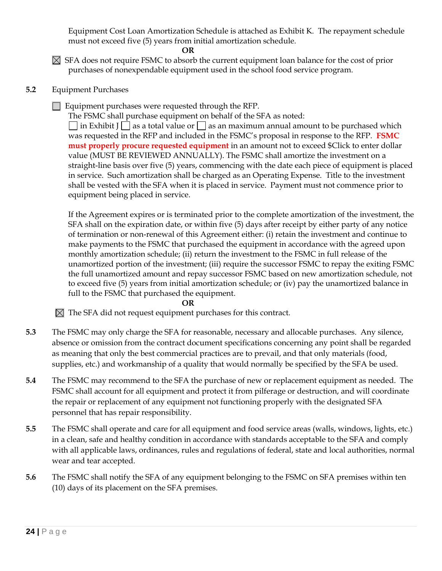Equipment Cost Loan Amortization Schedule is attached as Exhibit K. The repayment schedule must not exceed five (5) years from initial amortization schedule.

#### **OR**

 $\boxtimes$  SFA does not require FSMC to absorb the current equipment loan balance for the cost of prior purchases of nonexpendable equipment used in the school food service program.

- **5.2** Equipment Purchases
	- Equipment purchases were requested through the RFP.

The FSMC shall purchase equipment on behalf of the SFA as noted:

 $\Box$  in Exhibit J  $\Box$  as a total value or  $\Box$  as an maximum annual amount to be purchased which was requested in the RFP and included in the FSMC's proposal in response to the RFP. **FSMC must properly procure requested equipment** in an amount not to exceed \$Click to enter dollar value (MUST BE REVIEWED ANNUALLY). The FSMC shall amortize the investment on a straight-line basis over five (5) years, commencing with the date each piece of equipment is placed in service. Such amortization shall be charged as an Operating Expense. Title to the investment shall be vested with the SFA when it is placed in service. Payment must not commence prior to equipment being placed in service.

If the Agreement expires or is terminated prior to the complete amortization of the investment, the SFA shall on the expiration date, or within five (5) days after receipt by either party of any notice of termination or non-renewal of this Agreement either: (i) retain the investment and continue to make payments to the FSMC that purchased the equipment in accordance with the agreed upon monthly amortization schedule; (ii) return the investment to the FSMC in full release of the unamortized portion of the investment; (iii) require the successor FSMC to repay the exiting FSMC the full unamortized amount and repay successor FSMC based on new amortization schedule, not to exceed five (5) years from initial amortization schedule; or (iv) pay the unamortized balance in full to the FSMC that purchased the equipment.

**OR**

 $\boxtimes$  The SFA did not request equipment purchases for this contract.

- **5.3** The FSMC may only charge the SFA for reasonable, necessary and allocable purchases. Any silence, absence or omission from the contract document specifications concerning any point shall be regarded as meaning that only the best commercial practices are to prevail, and that only materials (food, supplies, etc.) and workmanship of a quality that would normally be specified by the SFA be used.
- **5.4** The FSMC may recommend to the SFA the purchase of new or replacement equipment as needed. The FSMC shall account for all equipment and protect it from pilferage or destruction, and will coordinate the repair or replacement of any equipment not functioning properly with the designated SFA personnel that has repair responsibility.
- **5.5** The FSMC shall operate and care for all equipment and food service areas (walls, windows, lights, etc.) in a clean, safe and healthy condition in accordance with standards acceptable to the SFA and comply with all applicable laws, ordinances, rules and regulations of federal, state and local authorities, normal wear and tear accepted.
- **5.6** The FSMC shall notify the SFA of any equipment belonging to the FSMC on SFA premises within ten (10) days of its placement on the SFA premises.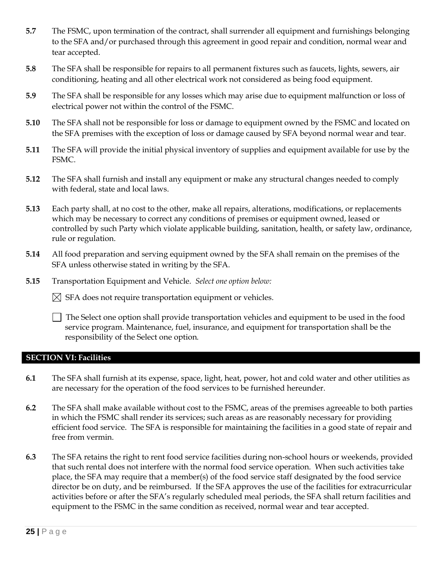- **5.7** The FSMC, upon termination of the contract, shall surrender all equipment and furnishings belonging to the SFA and/or purchased through this agreement in good repair and condition, normal wear and tear accepted.
- **5.8** The SFA shall be responsible for repairs to all permanent fixtures such as faucets, lights, sewers, air conditioning, heating and all other electrical work not considered as being food equipment.
- **5.9** The SFA shall be responsible for any losses which may arise due to equipment malfunction or loss of electrical power not within the control of the FSMC.
- **5.10** The SFA shall not be responsible for loss or damage to equipment owned by the FSMC and located on the SFA premises with the exception of loss or damage caused by SFA beyond normal wear and tear.
- **5.11** The SFA will provide the initial physical inventory of supplies and equipment available for use by the FSMC.
- **5.12** The SFA shall furnish and install any equipment or make any structural changes needed to comply with federal, state and local laws.
- **5.13** Each party shall, at no cost to the other, make all repairs, alterations, modifications, or replacements which may be necessary to correct any conditions of premises or equipment owned, leased or controlled by such Party which violate applicable building, sanitation, health, or safety law, ordinance, rule or regulation.
- **5.14** All food preparation and serving equipment owned by the SFA shall remain on the premises of the SFA unless otherwise stated in writing by the SFA.
- **5.15** Transportation Equipment and Vehicle.*Select one option below:*
	- $\boxtimes$  SFA does not require transportation equipment or vehicles.
	- The Select one option shall provide transportation vehicles and equipment to be used in the food service program. Maintenance, fuel, insurance, and equipment for transportation shall be the responsibility of the Select one option.

#### **SECTION VI: Facilities**

- **6.1** The SFA shall furnish at its expense, space, light, heat, power, hot and cold water and other utilities as are necessary for the operation of the food services to be furnished hereunder.
- **6.2** The SFA shall make available without cost to the FSMC, areas of the premises agreeable to both parties in which the FSMC shall render its services; such areas as are reasonably necessary for providing efficient food service. The SFA is responsible for maintaining the facilities in a good state of repair and free from vermin.
- **6.3** The SFA retains the right to rent food service facilities during non-school hours or weekends, provided that such rental does not interfere with the normal food service operation. When such activities take place, the SFA may require that a member(s) of the food service staff designated by the food service director be on duty, and be reimbursed. If the SFA approves the use of the facilities for extracurricular activities before or after the SFA's regularly scheduled meal periods, the SFA shall return facilities and equipment to the FSMC in the same condition as received, normal wear and tear accepted.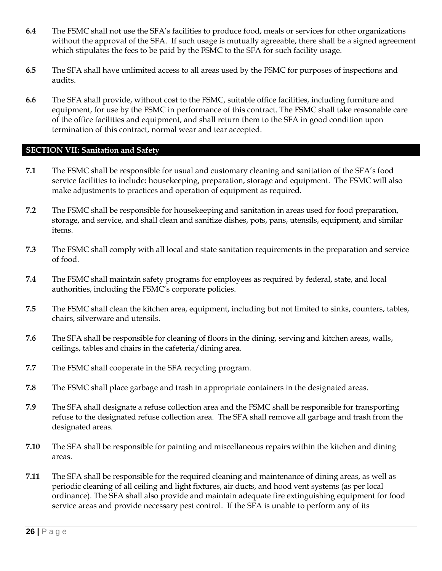- **6.4** The FSMC shall not use the SFA's facilities to produce food, meals or services for other organizations without the approval of the SFA. If such usage is mutually agreeable, there shall be a signed agreement which stipulates the fees to be paid by the FSMC to the SFA for such facility usage.
- **6.5** The SFA shall have unlimited access to all areas used by the FSMC for purposes of inspections and audits.
- **6.6** The SFA shall provide, without cost to the FSMC, suitable office facilities, including furniture and equipment, for use by the FSMC in performance of this contract. The FSMC shall take reasonable care of the office facilities and equipment, and shall return them to the SFA in good condition upon termination of this contract, normal wear and tear accepted.

#### **SECTION VII: Sanitation and Safety**

- **7.1** The FSMC shall be responsible for usual and customary cleaning and sanitation of the SFA's food service facilities to include: housekeeping, preparation, storage and equipment. The FSMC will also make adjustments to practices and operation of equipment as required.
- **7.2** The FSMC shall be responsible for housekeeping and sanitation in areas used for food preparation, storage, and service, and shall clean and sanitize dishes, pots, pans, utensils, equipment, and similar items.
- **7.3** The FSMC shall comply with all local and state sanitation requirements in the preparation and service of food.
- **7.4** The FSMC shall maintain safety programs for employees as required by federal, state, and local authorities, including the FSMC's corporate policies.
- **7.5** The FSMC shall clean the kitchen area, equipment, including but not limited to sinks, counters, tables, chairs, silverware and utensils.
- **7.6** The SFA shall be responsible for cleaning of floors in the dining, serving and kitchen areas, walls, ceilings, tables and chairs in the cafeteria/dining area.
- **7.7** The FSMC shall cooperate in the SFA recycling program.
- **7.8** The FSMC shall place garbage and trash in appropriate containers in the designated areas.
- **7.9** The SFA shall designate a refuse collection area and the FSMC shall be responsible for transporting refuse to the designated refuse collection area. The SFA shall remove all garbage and trash from the designated areas.
- **7.10** The SFA shall be responsible for painting and miscellaneous repairs within the kitchen and dining areas.
- **7.11** The SFA shall be responsible for the required cleaning and maintenance of dining areas, as well as periodic cleaning of all ceiling and light fixtures, air ducts, and hood vent systems (as per local ordinance). The SFA shall also provide and maintain adequate fire extinguishing equipment for food service areas and provide necessary pest control. If the SFA is unable to perform any of its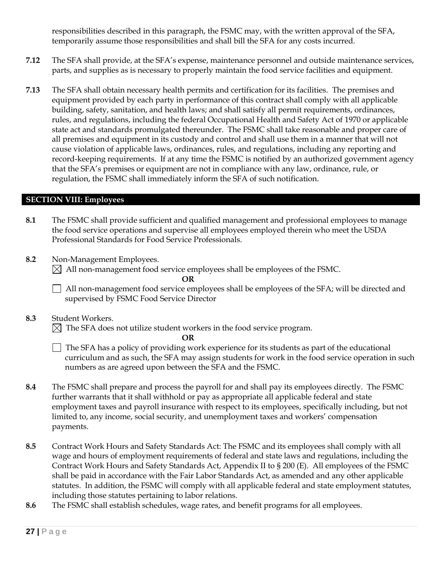responsibilities described in this paragraph, the FSMC may, with the written approval of the SFA, temporarily assume those responsibilities and shall bill the SFA for any costs incurred.

- **7.12** The SFA shall provide, at the SFA's expense, maintenance personnel and outside maintenance services, parts, and supplies as is necessary to properly maintain the food service facilities and equipment.
- **7.13** The SFA shall obtain necessary health permits and certification for its facilities. The premises and equipment provided by each party in performance of this contract shall comply with all applicable building, safety, sanitation, and health laws; and shall satisfy all permit requirements, ordinances, rules, and regulations, including the federal Occupational Health and Safety Act of 1970 or applicable state act and standards promulgated thereunder. The FSMC shall take reasonable and proper care of all premises and equipment in its custody and control and shall use them in a manner that will not cause violation of applicable laws, ordinances, rules, and regulations, including any reporting and record-keeping requirements. If at any time the FSMC is notified by an authorized government agency that the SFA's premises or equipment are not in compliance with any law, ordinance, rule, or regulation, the FSMC shall immediately inform the SFA of such notification.

## **SECTION VIII: Employees**

- **8.1** The FSMC shall provide sufficient and qualified management and professional employees to manage the food service operations and supervise all employees employed therein who meet the USDA Professional Standards for Food Service Professionals.
- **8.2** Non-Management Employees.  $\boxtimes$  All non-management food service employees shall be employees of the FSMC.

**OR**

All non-management food service employees shall be employees of the SFA; will be directed and supervised by FSMC Food Service Director

**8.3** Student Workers.

 $\boxtimes$  The SFA does not utilize student workers in the food service program.

**OR**

The SFA has a policy of providing work experience for its students as part of the educational curriculum and as such, the SFA may assign students for work in the food service operation in such numbers as are agreed upon between the SFA and the FSMC.

- **8.4** The FSMC shall prepare and process the payroll for and shall pay its employees directly. The FSMC further warrants that it shall withhold or pay as appropriate all applicable federal and state employment taxes and payroll insurance with respect to its employees, specifically including, but not limited to, any income, social security, and unemployment taxes and workers' compensation payments.
- **8.5** Contract Work Hours and Safety Standards Act: The FSMC and its employees shall comply with all wage and hours of employment requirements of federal and state laws and regulations, including the Contract Work Hours and Safety Standards Act, Appendix II to § 200 (E). All employees of the FSMC shall be paid in accordance with the Fair Labor Standards Act, as amended and any other applicable statutes. In addition, the FSMC will comply with all applicable federal and state employment statutes, including those statutes pertaining to labor relations.
- **8.6** The FSMC shall establish schedules, wage rates, and benefit programs for all employees.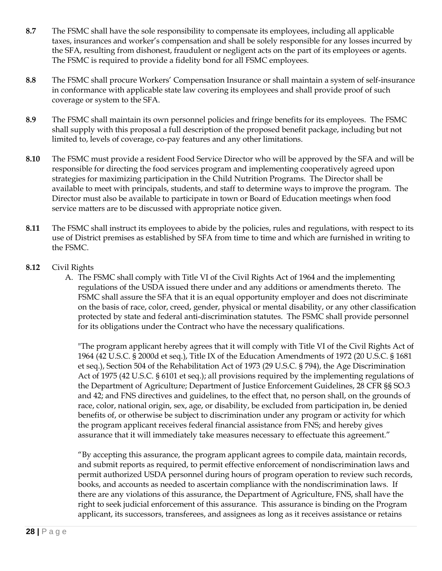- **8.7** The FSMC shall have the sole responsibility to compensate its employees, including all applicable taxes, insurances and worker's compensation and shall be solely responsible for any losses incurred by the SFA, resulting from dishonest, fraudulent or negligent acts on the part of its employees or agents. The FSMC is required to provide a fidelity bond for all FSMC employees.
- **8.8** The FSMC shall procure Workers' Compensation Insurance or shall maintain a system of self-insurance in conformance with applicable state law covering its employees and shall provide proof of such coverage or system to the SFA.
- **8.9** The FSMC shall maintain its own personnel policies and fringe benefits for its employees. The FSMC shall supply with this proposal a full description of the proposed benefit package, including but not limited to, levels of coverage, co-pay features and any other limitations.
- **8.10** The FSMC must provide a resident Food Service Director who will be approved by the SFA and will be responsible for directing the food services program and implementing cooperatively agreed upon strategies for maximizing participation in the Child Nutrition Programs. The Director shall be available to meet with principals, students, and staff to determine ways to improve the program. The Director must also be available to participate in town or Board of Education meetings when food service matters are to be discussed with appropriate notice given.
- **8.11** The FSMC shall instruct its employees to abide by the policies, rules and regulations, with respect to its use of District premises as established by SFA from time to time and which are furnished in writing to the FSMC.
- **8.12** Civil Rights
	- A. The FSMC shall comply with Title VI of the Civil Rights Act of 1964 and the implementing regulations of the USDA issued there under and any additions or amendments thereto. The FSMC shall assure the SFA that it is an equal opportunity employer and does not discriminate on the basis of race, color, creed, gender, physical or mental disability, or any other classification protected by state and federal anti-discrimination statutes. The FSMC shall provide personnel for its obligations under the Contract who have the necessary qualifications.

"The program applicant hereby agrees that it will comply with Title VI of the Civil Rights Act of 1964 (42 U.S.C. § 2000d et seq.), Title IX of the Education Amendments of 1972 (20 U.S.C. § 1681 et seq.), Section 504 of the Rehabilitation Act of 1973 (29 U.S.C. § 794), the Age Discrimination Act of 1975 (42 U.S.C. § 6101 et seq.); all provisions required by the implementing regulations of the Department of Agriculture; Department of Justice Enforcement Guidelines, 28 CFR §§ SO.3 and 42; and FNS directives and guidelines, to the effect that, no person shall, on the grounds of race, color, national origin, sex, age, or disability, be excluded from participation in, be denied benefits of, or otherwise be subject to discrimination under any program or activity for which the program applicant receives federal financial assistance from FNS; and hereby gives assurance that it will immediately take measures necessary to effectuate this agreement."

"By accepting this assurance, the program applicant agrees to compile data, maintain records, and submit reports as required, to permit effective enforcement of nondiscrimination laws and permit authorized USDA personnel during hours of program operation to review such records, books, and accounts as needed to ascertain compliance with the nondiscrimination laws. If there are any violations of this assurance, the Department of Agriculture, FNS, shall have the right to seek judicial enforcement of this assurance. This assurance is binding on the Program applicant, its successors, transferees, and assignees as long as it receives assistance or retains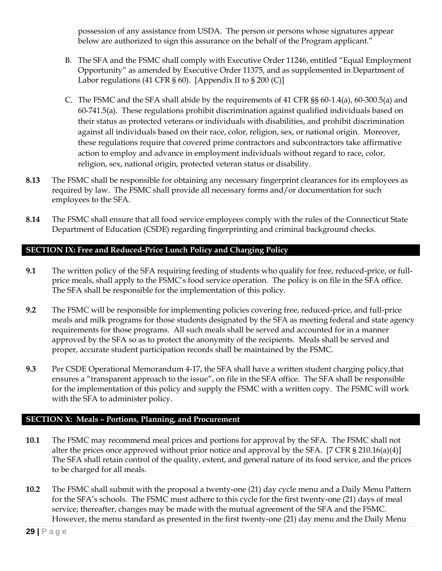possession of any assistance from USDA. The person or persons whose signatures appear below are authorized to sign this assurance on the behalf of the Program applicant."

- B. The SFA and the FSMC shall comply with Executive Order 11246, entitled "Equal Employment Opportunity" as amended by Executive Order 11375, and as supplemented in Department of Labor regulations (41 CFR § 60). [Appendix II to § 200 (C)]
- C. The FSMC and the SFA shall abide by the requirements of 41 CFR §§ 60-1.4(a), 60-300.5(a) and 60-741.5(a). These regulations prohibit discrimination against qualified individuals based on their status as protected veterans or individuals with disabilities, and prohibit discrimination against all individuals based on their race, color, religion, sex, or national origin. Moreover, these regulations require that covered prime contractors and subcontractors take affirmative action to employ and advance in employment individuals without regard to race, color, religion, sex, national origin, protected veteran status or disability.
- **8.13** The FSMC shall be responsible for obtaining any necessary fingerprint clearances for its employees as required by law. The FSMC shall provide all necessary forms and/or documentation for such employees to the SFA.
- **8.14** The FSMC shall ensure that all food service employees comply with the rules of the Connecticut State Department of Education (CSDE) regarding fingerprinting and criminal background checks.

# **SECTION IX: Free and Reduced-Price Lunch Policy and Charging Policy**

- **9.1** The written policy of the SFA requiring feeding of students who qualify for free, reduced-price, or fullprice meals, shall apply to the FSMC's food service operation. The policy is on file in the SFA office. The SFA shall be responsible for the implementation of this policy.
- **9.2** The FSMC will be responsible for implementing policies covering free, reduced-price, and full-price meals and milk programs for those students designated by the SFA as meeting federal and state agency requirements for those programs. All such meals shall be served and accounted for in a manner approved by the SFA so as to protect the anonymity of the recipients. Meals shall be served and proper, accurate student participation records shall be maintained by the FSMC.
- **9.3** Per CSDE Operational Memorandum 4-17, the SFA shall have a written student charging policy,that ensures a "transparent approach to the issue", on file in the SFA office. The SFA shall be responsible for the implementation of this policy and supply the FSMC with a written copy. The FSMC will work with the SFA to administer policy.

# **SECTION X: Meals – Portions, Planning, and Procurement**

- **10.1** The FSMC may recommend meal prices and portions for approval by the SFA. The FSMC shall not alter the prices once approved without prior notice and approval by the SFA. [7 CFR § 210.16(a)(4)] The SFA shall retain control of the quality, extent, and general nature of its food service, and the prices to be charged for all meals.
- **10.2** The FSMC shall submit with the proposal a twenty-one (21) day cycle menu and a Daily Menu Pattern for the SFA's schools. The FSMC must adhere to this cycle for the first twenty-one (21) days of meal service; thereafter, changes may be made with the mutual agreement of the SFA and the FSMC. However, the menu standard as presented in the first twenty-one (21) day menu and the Daily Menu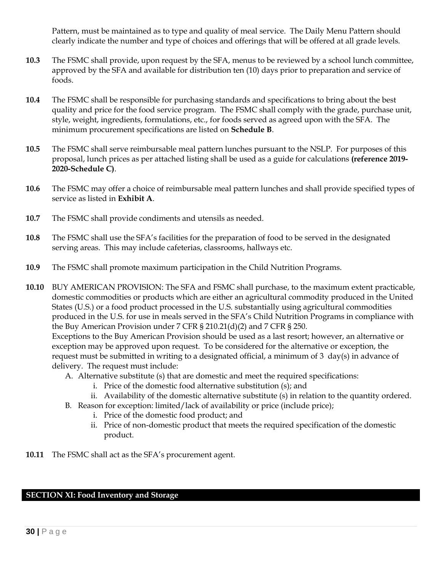Pattern, must be maintained as to type and quality of meal service. The Daily Menu Pattern should clearly indicate the number and type of choices and offerings that will be offered at all grade levels.

- **10.3** The FSMC shall provide, upon request by the SFA, menus to be reviewed by a school lunch committee, approved by the SFA and available for distribution ten (10) days prior to preparation and service of foods.
- **10.4** The FSMC shall be responsible for purchasing standards and specifications to bring about the best quality and price for the food service program. The FSMC shall comply with the grade, purchase unit, style, weight, ingredients, formulations, etc., for foods served as agreed upon with the SFA. The minimum procurement specifications are listed on **Schedule B**.
- **10.5** The FSMC shall serve reimbursable meal pattern lunches pursuant to the NSLP. For purposes of this proposal, lunch prices as per attached listing shall be used as a guide for calculations **(reference 2019- 2020-Schedule C)**.
- **10.6** The FSMC may offer a choice of reimbursable meal pattern lunches and shall provide specified types of service as listed in **Exhibit A**.
- **10.7** The FSMC shall provide condiments and utensils as needed.
- **10.8** The FSMC shall use the SFA's facilities for the preparation of food to be served in the designated serving areas. This may include cafeterias, classrooms, hallways etc.
- **10.9** The FSMC shall promote maximum participation in the Child Nutrition Programs.
- **10.10** BUY AMERICAN PROVISION: The SFA and FSMC shall purchase, to the maximum extent practicable, domestic commodities or products which are either an agricultural commodity produced in the United States (U.S.) or a food product processed in the U.S. substantially using agricultural commodities produced in the U.S. for use in meals served in the SFA's Child Nutrition Programs in compliance with the Buy American Provision under 7 CFR § 210.21(d)(2) and 7 CFR § 250. Exceptions to the Buy American Provision should be used as a last resort; however, an alternative or exception may be approved upon request. To be considered for the alternative or exception, the request must be submitted in writing to a designated official, a minimum of 3 day(s) in advance of delivery. The request must include:
	- A. Alternative substitute (s) that are domestic and meet the required specifications:
		- i. Price of the domestic food alternative substitution (s); and
		- ii. Availability of the domestic alternative substitute (s) in relation to the quantity ordered.
	- B. Reason for exception: limited/lack of availability or price (include price);
		- i. Price of the domestic food product; and
		- ii. Price of non-domestic product that meets the required specification of the domestic product.
- **10.11** The FSMC shall act as the SFA's procurement agent.

# **SECTION XI: Food Inventory and Storage**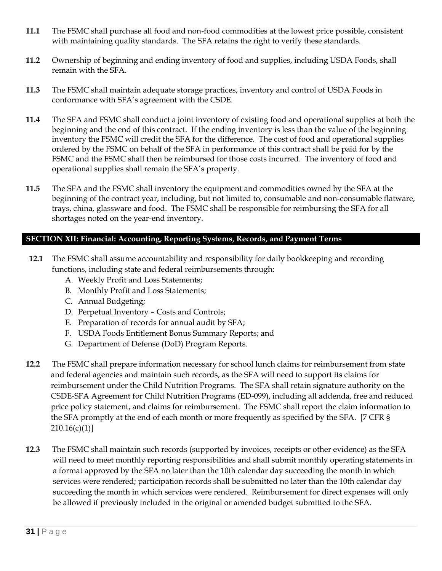- **11.1** The FSMC shall purchase all food and non-food commodities at the lowest price possible, consistent with maintaining quality standards. The SFA retains the right to verify these standards.
- **11.2** Ownership of beginning and ending inventory of food and supplies, including USDA Foods, shall remain with the SFA.
- **11.3** The FSMC shall maintain adequate storage practices, inventory and control of USDA Foods in conformance with SFA's agreement with the CSDE.
- **11.4** The SFA and FSMC shall conduct a joint inventory of existing food and operational supplies at both the beginning and the end of this contract. If the ending inventory is less than the value of the beginning inventory the FSMC will credit the SFA for the difference. The cost of food and operational supplies ordered by the FSMC on behalf of the SFA in performance of this contract shall be paid for by the FSMC and the FSMC shall then be reimbursed for those costs incurred. The inventory of food and operational supplies shall remain the SFA's property.
- **11.5** The SFA and the FSMC shall inventory the equipment and commodities owned by the SFA at the beginning of the contract year, including, but not limited to, consumable and non-consumable flatware, trays, china, glassware and food. The FSMC shall be responsible for reimbursing the SFA for all shortages noted on the year-end inventory.

# **SECTION XII: Financial: Accounting, Reporting Systems, Records, and Payment Terms**

- **12.1** The FSMC shall assume accountability and responsibility for daily bookkeeping and recording functions, including state and federal reimbursements through:
	- A. Weekly Profit and Loss Statements;
	- B. Monthly Profit and Loss Statements;
	- C. Annual Budgeting;
	- D. Perpetual Inventory Costs and Controls;
	- E. Preparation of records for annual audit by SFA;
	- F. USDA Foods Entitlement Bonus Summary Reports; and
	- G. Department of Defense (DoD) Program Reports.
- **12.2** The FSMC shall prepare information necessary for school lunch claims for reimbursement from state and federal agencies and maintain such records, as the SFA will need to support its claims for reimbursement under the Child Nutrition Programs. The SFA shall retain signature authority on the CSDE-SFA Agreement for Child Nutrition Programs (ED-099), including all addenda, free and reduced price policy statement, and claims for reimbursement. The FSMC shall report the claim information to the SFA promptly at the end of each month or more frequently as specified by the SFA. [7 CFR §  $210.16(c)(1)$ ]
- **12.3** The FSMC shall maintain such records (supported by invoices, receipts or other evidence) as the SFA will need to meet monthly reporting responsibilities and shall submit monthly operating statements in a format approved by the SFA no later than the 10th calendar day succeeding the month in which services were rendered; participation records shall be submitted no later than the 10th calendar day succeeding the month in which services were rendered. Reimbursement for direct expenses will only be allowed if previously included in the original or amended budget submitted to the SFA.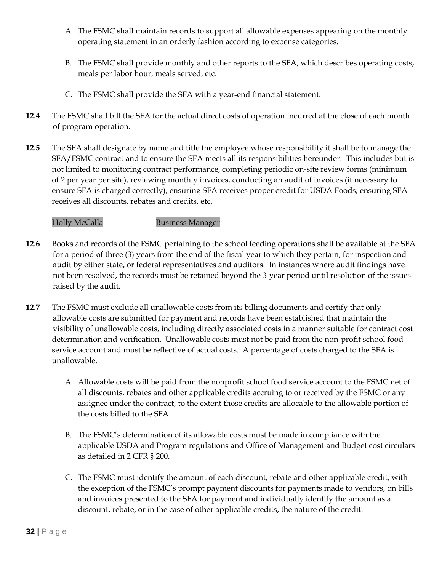- A. The FSMC shall maintain records to support all allowable expenses appearing on the monthly operating statement in an orderly fashion according to expense categories.
- B. The FSMC shall provide monthly and other reports to the SFA, which describes operating costs, meals per labor hour, meals served, etc.
- C. The FSMC shall provide the SFA with a year-end financial statement.
- **12.4** The FSMC shall bill the SFA for the actual direct costs of operation incurred at the close of each month of program operation.
- **12.5** The SFA shall designate by name and title the employee whose responsibility it shall be to manage the SFA/FSMC contract and to ensure the SFA meets all its responsibilities hereunder. This includes but is not limited to monitoring contract performance, completing periodic on-site review forms (minimum of 2 per year per site), reviewing monthly invoices, conducting an audit of invoices (if necessary to ensure SFA is charged correctly), ensuring SFA receives proper credit for USDA Foods, ensuring SFA receives all discounts, rebates and credits, etc.

# Holly McCalla Business Manager

- **12.6** Books and records of the FSMC pertaining to the school feeding operations shall be available at the SFA for a period of three (3) years from the end of the fiscal year to which they pertain, for inspection and audit by either state, or federal representatives and auditors. In instances where audit findings have not been resolved, the records must be retained beyond the 3-year period until resolution of the issues raised by the audit.
- **12.7** The FSMC must exclude all unallowable costs from its billing documents and certify that only allowable costs are submitted for payment and records have been established that maintain the visibility of unallowable costs, including directly associated costs in a manner suitable for contract cost determination and verification. Unallowable costs must not be paid from the non-profit school food service account and must be reflective of actual costs. A percentage of costs charged to the SFA is unallowable.
	- A. Allowable costs will be paid from the nonprofit school food service account to the FSMC net of all discounts, rebates and other applicable credits accruing to or received by the FSMC or any assignee under the contract, to the extent those credits are allocable to the allowable portion of the costs billed to the SFA.
	- B. The FSMC's determination of its allowable costs must be made in compliance with the applicable USDA and Program regulations and Office of Management and Budget cost circulars as detailed in 2 CFR § 200.
	- C. The FSMC must identify the amount of each discount, rebate and other applicable credit, with the exception of the FSMC's prompt payment discounts for payments made to vendors, on bills and invoices presented to the SFA for payment and individually identify the amount as a discount, rebate, or in the case of other applicable credits, the nature of the credit.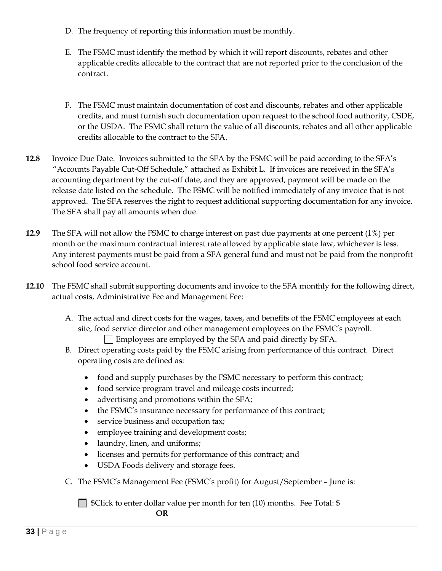- D. The frequency of reporting this information must be monthly.
- E. The FSMC must identify the method by which it will report discounts, rebates and other applicable credits allocable to the contract that are not reported prior to the conclusion of the contract.
- F. The FSMC must maintain documentation of cost and discounts, rebates and other applicable credits, and must furnish such documentation upon request to the school food authority, CSDE, or the USDA. The FSMC shall return the value of all discounts, rebates and all other applicable credits allocable to the contract to the SFA.
- **12.8** Invoice Due Date. Invoices submitted to the SFA by the FSMC will be paid according to the SFA's "Accounts Payable Cut-Off Schedule," attached as Exhibit L. If invoices are received in the SFA's accounting department by the cut-off date, and they are approved, payment will be made on the release date listed on the schedule. The FSMC will be notified immediately of any invoice that is not approved. The SFA reserves the right to request additional supporting documentation for any invoice. The SFA shall pay all amounts when due.
- **12.9** The SFA will not allow the FSMC to charge interest on past due payments at one percent (1%) per month or the maximum contractual interest rate allowed by applicable state law, whichever is less. Any interest payments must be paid from a SFA general fund and must not be paid from the nonprofit school food service account.
- **12.10** The FSMC shall submit supporting documents and invoice to the SFA monthly for the following direct, actual costs, Administrative Fee and Management Fee:
	- A. The actual and direct costs for the wages, taxes, and benefits of the FSMC employees at each site, food service director and other management employees on the FSMC's payroll. Employees are employed by the SFA and paid directly by SFA.
	- B. Direct operating costs paid by the FSMC arising from performance of this contract. Direct operating costs are defined as:
		- food and supply purchases by the FSMC necessary to perform this contract;
		- food service program travel and mileage costs incurred;
		- advertising and promotions within the SFA;
		- the FSMC's insurance necessary for performance of this contract;
		- service business and occupation tax;
		- employee training and development costs;
		- laundry, linen, and uniforms;
		- licenses and permits for performance of this contract; and
		- USDA Foods delivery and storage fees.
	- C. The FSMC's Management Fee (FSMC's profit) for August/September June is:

□ \$Click to enter dollar value per month for ten (10) months. Fee Total: \$ **OR**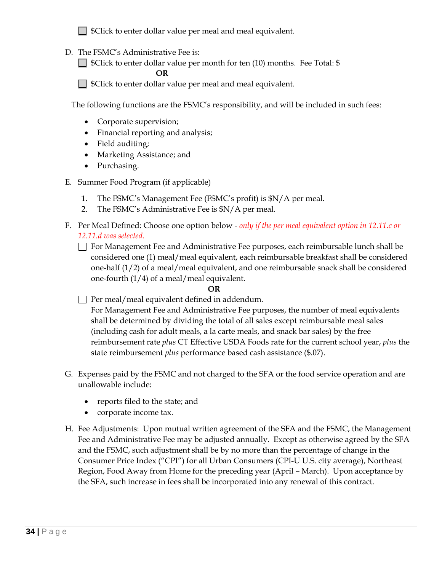

SClick to enter dollar value per meal and meal equivalent.

D. The FSMC's Administrative Fee is:

□ \$Click to enter dollar value per month for ten (10) months. Fee Total: \$

**OR**

SClick to enter dollar value per meal and meal equivalent.

The following functions are the FSMC's responsibility, and will be included in such fees:

- Corporate supervision;
- Financial reporting and analysis;
- Field auditing;
- Marketing Assistance; and
- Purchasing.
- E. Summer Food Program (if applicable)
	- 1. The FSMC's Management Fee (FSMC's profit) is \$N/A per meal.
	- 2. The FSMC's Administrative Fee is \$N/A per meal.
- F. Per Meal Defined: Choose one option below *- only if the per meal equivalent option in 12.11.c or 12.11.d was selected.*
	- For Management Fee and Administrative Fee purposes, each reimbursable lunch shall be considered one (1) meal/meal equivalent, each reimbursable breakfast shall be considered one-half (1/2) of a meal/meal equivalent, and one reimbursable snack shall be considered one-fourth (1/4) of a meal/meal equivalent.

# **OR**

 $\Box$  Per meal/meal equivalent defined in addendum.

For Management Fee and Administrative Fee purposes, the number of meal equivalents shall be determined by dividing the total of all sales except reimbursable meal sales (including cash for adult meals, a la carte meals, and snack bar sales) by the free reimbursement rate *plus* CT Effective USDA Foods rate for the current school year, *plus* the state reimbursement *plus* performance based cash assistance (\$.07).

- G. Expenses paid by the FSMC and not charged to the SFA or the food service operation and are unallowable include:
	- reports filed to the state; and
	- corporate income tax.
- H. Fee Adjustments: Upon mutual written agreement of the SFA and the FSMC, the Management Fee and Administrative Fee may be adjusted annually. Except as otherwise agreed by the SFA and the FSMC, such adjustment shall be by no more than the percentage of change in the Consumer Price Index ("CPI") for all Urban Consumers (CPI-U U.S. city average), Northeast Region, Food Away from Home for the preceding year (April – March). Upon acceptance by the SFA, such increase in fees shall be incorporated into any renewal of this contract.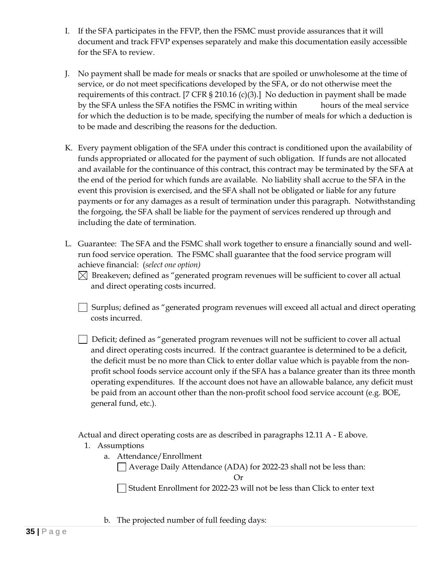- I. If the SFA participates in the FFVP, then the FSMC must provide assurances that it will document and track FFVP expenses separately and make this documentation easily accessible for the SFA to review.
- J. No payment shall be made for meals or snacks that are spoiled or unwholesome at the time of service, or do not meet specifications developed by the SFA, or do not otherwise meet the requirements of this contract. [7 CFR § 210.16 (c)(3).] No deduction in payment shall be made by the SFA unless the SFA notifies the FSMC in writing within hours of the meal service for which the deduction is to be made, specifying the number of meals for which a deduction is to be made and describing the reasons for the deduction.
- K. Every payment obligation of the SFA under this contract is conditioned upon the availability of funds appropriated or allocated for the payment of such obligation. If funds are not allocated and available for the continuance of this contract, this contract may be terminated by the SFA at the end of the period for which funds are available. No liability shall accrue to the SFA in the event this provision is exercised, and the SFA shall not be obligated or liable for any future payments or for any damages as a result of termination under this paragraph. Notwithstanding the forgoing, the SFA shall be liable for the payment of services rendered up through and including the date of termination.
- L. Guarantee: The SFA and the FSMC shall work together to ensure a financially sound and wellrun food service operation. The FSMC shall guarantee that the food service program will achieve financial: (*select one option)*
	- $\boxtimes$  Breakeven; defined as "generated program revenues will be sufficient to cover all actual and direct operating costs incurred.
	- Surplus; defined as "generated program revenues will exceed all actual and direct operating costs incurred.
	- Deficit; defined as "generated program revenues will not be sufficient to cover all actual and direct operating costs incurred. If the contract guarantee is determined to be a deficit, the deficit must be no more than Click to enter dollar value which is payable from the nonprofit school foods service account only if the SFA has a balance greater than its three month operating expenditures. If the account does not have an allowable balance, any deficit must be paid from an account other than the non-profit school food service account (e.g. BOE, general fund, etc.).

Actual and direct operating costs are as described in paragraphs 12.11 A - E above.

- 1. Assumptions
	- a. Attendance/Enrollment
		- Average Daily Attendance (ADA) for 2022-23 shall not be less than:

Or

Student Enrollment for 2022-23 will not be less than Click to enter text

b. The projected number of full feeding days: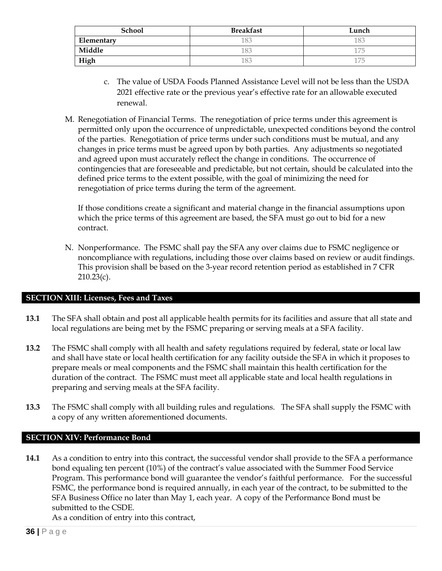| <b>School</b> | <b>Breakfast</b> | Lunch |
|---------------|------------------|-------|
| Elementary    | 183              | 183   |
| Middle        | 183              |       |
| High          | 183              |       |

- c. The value of USDA Foods Planned Assistance Level will not be less than the USDA 2021 effective rate or the previous year's effective rate for an allowable executed renewal.
- M. Renegotiation of Financial Terms. The renegotiation of price terms under this agreement is permitted only upon the occurrence of unpredictable, unexpected conditions beyond the control of the parties. Renegotiation of price terms under such conditions must be mutual, and any changes in price terms must be agreed upon by both parties. Any adjustments so negotiated and agreed upon must accurately reflect the change in conditions. The occurrence of contingencies that are foreseeable and predictable, but not certain, should be calculated into the defined price terms to the extent possible, with the goal of minimizing the need for renegotiation of price terms during the term of the agreement.

If those conditions create a significant and material change in the financial assumptions upon which the price terms of this agreement are based, the SFA must go out to bid for a new contract.

N. Nonperformance. The FSMC shall pay the SFA any over claims due to FSMC negligence or noncompliance with regulations, including those over claims based on review or audit findings. This provision shall be based on the 3-year record retention period as established in 7 CFR 210.23(c).

# **SECTION XIII: Licenses, Fees and Taxes**

- **13.1** The SFA shall obtain and post all applicable health permits for its facilities and assure that all state and local regulations are being met by the FSMC preparing or serving meals at a SFA facility.
- **13.2** The FSMC shall comply with all health and safety regulations required by federal, state or local law and shall have state or local health certification for any facility outside the SFA in which it proposes to prepare meals or meal components and the FSMC shall maintain this health certification for the duration of the contract. The FSMC must meet all applicable state and local health regulations in preparing and serving meals at the SFA facility.
- **13.3** The FSMC shall comply with all building rules and regulations. The SFA shall supply the FSMC with a copy of any written aforementioned documents.

# **SECTION XIV: Performance Bond**

**14.1** As a condition to entry into this contract, the successful vendor shall provide to the SFA a performance bond equaling ten percent (10%) of the contract's value associated with the Summer Food Service Program. This performance bond will guarantee the vendor's faithful performance. For the successful FSMC, the performance bond is required annually, in each year of the contract, to be submitted to the SFA Business Office no later than May 1, each year. A copy of the Performance Bond must be submitted to the CSDE.

As a condition of entry into this contract,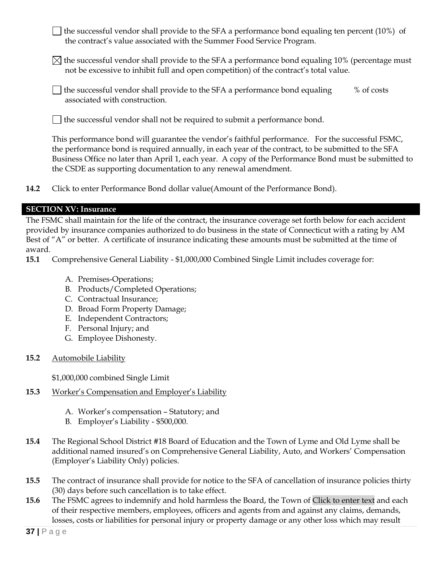the successful vendor shall provide to the SFA a performance bond equaling ten percent (10%) of the contract's value associated with the Summer Food Service Program.

- $\bowtie$  the successful vendor shall provide to the SFA a performance bond equaling 10% (percentage must not be excessive to inhibit full and open competition) of the contract's total value.
	- the successful vendor shall provide to the SFA a performance bond equaling  $\%$  of costs associated with construction.
- the successful vendor shall not be required to submit a performance bond.

This performance bond will guarantee the vendor's faithful performance. For the successful FSMC, the performance bond is required annually, in each year of the contract, to be submitted to the SFA Business Office no later than April 1, each year. A copy of the Performance Bond must be submitted to the CSDE as supporting documentation to any renewal amendment.

**14.2** Click to enter Performance Bond dollar value(Amount of the Performance Bond).

# **SECTION XV: Insurance**

The FSMC shall maintain for the life of the contract, the insurance coverage set forth below for each accident provided by insurance companies authorized to do business in the state of Connecticut with a rating by AM Best of "A" or better. A certificate of insurance indicating these amounts must be submitted at the time of award.

- **15.1** Comprehensive General Liability \$1,000,000 Combined Single Limit includes coverage for:
	- A. Premises-Operations;
	- B. Products/Completed Operations;
	- C. Contractual Insurance;
	- D. Broad Form Property Damage;
	- E. Independent Contractors;
	- F. Personal Injury; and
	- G. Employee Dishonesty.
- **15.2** Automobile Liability

\$1,000,000 combined Single Limit

- **15.3** Worker's Compensation and Employer's Liability
	- A. Worker's compensation Statutory; and
	- B. Employer's Liability \$500,000.
- **15.4** The Regional School District #18 Board of Education and the Town of Lyme and Old Lyme shall be additional named insured's on Comprehensive General Liability, Auto, and Workers' Compensation (Employer's Liability Only) policies.
- **15.5** The contract of insurance shall provide for notice to the SFA of cancellation of insurance policies thirty (30) days before such cancellation is to take effect.
- **15.6** The FSMC agrees to indemnify and hold harmless the Board, the Town of Click to enter text and each of their respective members, employees, officers and agents from and against any claims, demands, losses, costs or liabilities for personal injury or property damage or any other loss which may result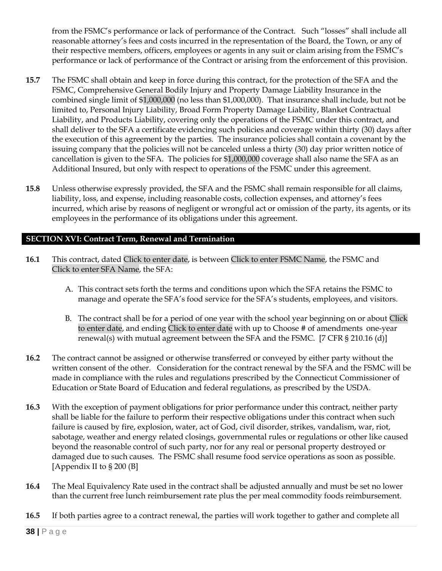from the FSMC's performance or lack of performance of the Contract. Such "losses" shall include all reasonable attorney's fees and costs incurred in the representation of the Board, the Town, or any of their respective members, officers, employees or agents in any suit or claim arising from the FSMC's performance or lack of performance of the Contract or arising from the enforcement of this provision.

- **15.7** The FSMC shall obtain and keep in force during this contract, for the protection of the SFA and the FSMC, Comprehensive General Bodily Injury and Property Damage Liability Insurance in the combined single limit of \$1,000,000 (no less than \$1,000,000). That insurance shall include, but not be limited to, Personal Injury Liability, Broad Form Property Damage Liability, Blanket Contractual Liability, and Products Liability, covering only the operations of the FSMC under this contract, and shall deliver to the SFA a certificate evidencing such policies and coverage within thirty (30) days after the execution of this agreement by the parties. The insurance policies shall contain a covenant by the issuing company that the policies will not be canceled unless a thirty (30) day prior written notice of cancellation is given to the SFA. The policies for \$1,000,000 coverage shall also name the SFA as an Additional Insured, but only with respect to operations of the FSMC under this agreement.
- **15.8** Unless otherwise expressly provided, the SFA and the FSMC shall remain responsible for all claims, liability, loss, and expense, including reasonable costs, collection expenses, and attorney's fees incurred, which arise by reasons of negligent or wrongful act or omission of the party, its agents, or its employees in the performance of its obligations under this agreement.

# **SECTION XVI: Contract Term, Renewal and Termination**

- **16.1** This contract, dated Click to enter date, is between Click to enter FSMC Name, the FSMC and Click to enter SFA Name, the SFA:
	- A. This contract sets forth the terms and conditions upon which the SFA retains the FSMC to manage and operate the SFA's food service for the SFA's students, employees, and visitors.
	- B. The contract shall be for a period of one year with the school year beginning on or about Click to enter date, and ending Click to enter date with up to Choose # of amendments one-year renewal(s) with mutual agreement between the SFA and the FSMC. [7 CFR § 210.16 (d)]
- **16.2** The contract cannot be assigned or otherwise transferred or conveyed by either party without the written consent of the other. Consideration for the contract renewal by the SFA and the FSMC will be made in compliance with the rules and regulations prescribed by the Connecticut Commissioner of Education or State Board of Education and federal regulations, as prescribed by the USDA.
- **16.3** With the exception of payment obligations for prior performance under this contract, neither party shall be liable for the failure to perform their respective obligations under this contract when such failure is caused by fire, explosion, water, act of God, civil disorder, strikes, vandalism, war, riot, sabotage, weather and energy related closings, governmental rules or regulations or other like caused beyond the reasonable control of such party, nor for any real or personal property destroyed or damaged due to such causes. The FSMC shall resume food service operations as soon as possible. [Appendix II to § 200 (B]
- **16.4** The Meal Equivalency Rate used in the contract shall be adjusted annually and must be set no lower than the current free lunch reimbursement rate plus the per meal commodity foods reimbursement.
- **16.5** If both parties agree to a contract renewal, the parties will work together to gather and complete all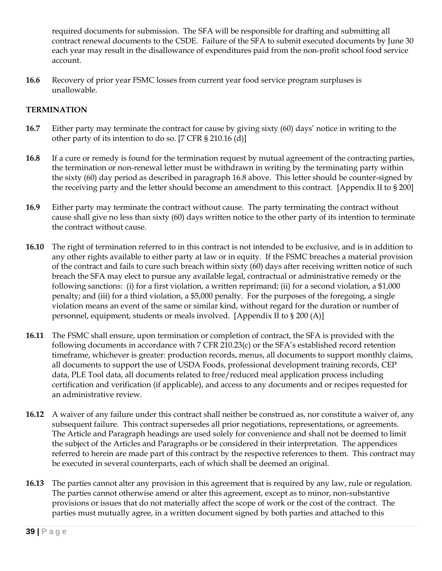required documents for submission. The SFA will be responsible for drafting and submitting all contract renewal documents to the CSDE. Failure of the SFA to submit executed documents by June 30 each year may result in the disallowance of expenditures paid from the non-profit school food service account.

**16.6** Recovery of prior year FSMC losses from current year food service program surpluses is unallowable.

# **TERMINATION**

- **16.7** Either party may terminate the contract for cause by giving sixty (60) days' notice in writing to the other party of its intention to do so. [7 CFR § 210.16 (d)]
- **16.8** If a cure or remedy is found for the termination request by mutual agreement of the contracting parties, the termination or non-renewal letter must be withdrawn in writing by the terminating party within the sixty (60) day period as described in paragraph 16.8 above. This letter should be counter-signed by the receiving party and the letter should become an amendment to this contract. [Appendix II to § 200]
- **16.9** Either party may terminate the contract without cause. The party terminating the contract without cause shall give no less than sixty (60) days written notice to the other party of its intention to terminate the contract without cause.
- **16.10** The right of termination referred to in this contract is not intended to be exclusive, and is in addition to any other rights available to either party at law or in equity. If the FSMC breaches a material provision of the contract and fails to cure such breach within sixty (60) days after receiving written notice of such breach the SFA may elect to pursue any available legal, contractual or administrative remedy or the following sanctions: (i) for a first violation, a written reprimand; (ii) for a second violation, a \$1,000 penalty; and (iii) for a third violation, a \$5,000 penalty. For the purposes of the foregoing, a single violation means an event of the same or similar kind, without regard for the duration or number of personnel, equipment, students or meals involved. [Appendix II to § 200 (A)]
- **16.11** The FSMC shall ensure, upon termination or completion of contract, the SFA is provided with the following documents in accordance with 7 CFR 210.23(c) or the SFA's established record retention timeframe, whichever is greater: production records, menus, all documents to support monthly claims, all documents to support the use of USDA Foods, professional development training records, CEP data, PLE Tool data, all documents related to free/reduced meal application process including certification and verification (if applicable), and access to any documents and or recipes requested for an administrative review.
- **16.12** A waiver of any failure under this contract shall neither be construed as, nor constitute a waiver of, any subsequent failure. This contract supersedes all prior negotiations, representations, or agreements. The Article and Paragraph headings are used solely for convenience and shall not be deemed to limit the subject of the Articles and Paragraphs or be considered in their interpretation. The appendices referred to herein are made part of this contract by the respective references to them. This contract may be executed in several counterparts, each of which shall be deemed an original.
- **16.13** The parties cannot alter any provision in this agreement that is required by any law, rule or regulation. The parties cannot otherwise amend or alter this agreement, except as to minor, non-substantive provisions or issues that do not materially affect the scope of work or the cost of the contract. The parties must mutually agree, in a written document signed by both parties and attached to this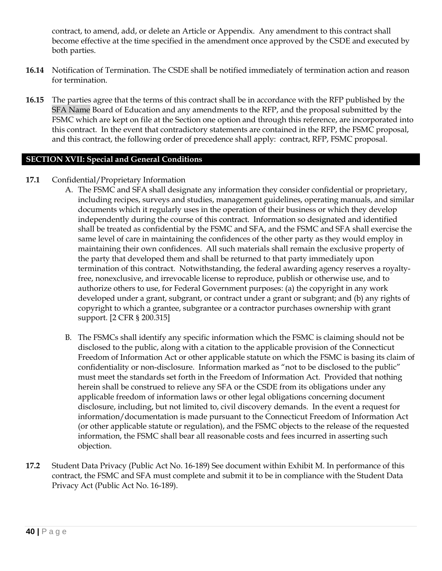contract, to amend, add, or delete an Article or Appendix. Any amendment to this contract shall become effective at the time specified in the amendment once approved by the CSDE and executed by both parties.

- **16.14** Notification of Termination. The CSDE shall be notified immediately of termination action and reason for termination.
- **16.15** The parties agree that the terms of this contract shall be in accordance with the RFP published by the SFA Name Board of Education and any amendments to the RFP, and the proposal submitted by the FSMC which are kept on file at the Section one option and through this reference, are incorporated into this contract. In the event that contradictory statements are contained in the RFP, the FSMC proposal, and this contract, the following order of precedence shall apply: contract, RFP, FSMC proposal.

#### **SECTION XVII: Special and General Conditions**

- **17.1** Confidential/Proprietary Information
	- A. The FSMC and SFA shall designate any information they consider confidential or proprietary, including recipes, surveys and studies, management guidelines, operating manuals, and similar documents which it regularly uses in the operation of their business or which they develop independently during the course of this contract. Information so designated and identified shall be treated as confidential by the FSMC and SFA, and the FSMC and SFA shall exercise the same level of care in maintaining the confidences of the other party as they would employ in maintaining their own confidences. All such materials shall remain the exclusive property of the party that developed them and shall be returned to that party immediately upon termination of this contract. Notwithstanding, the federal awarding agency reserves a royaltyfree, nonexclusive, and irrevocable license to reproduce, publish or otherwise use, and to authorize others to use, for Federal Government purposes: (a) the copyright in any work developed under a grant, subgrant, or contract under a grant or subgrant; and (b) any rights of copyright to which a grantee, subgrantee or a contractor purchases ownership with grant support. [2 CFR § 200.315]
	- B. The FSMCs shall identify any specific information which the FSMC is claiming should not be disclosed to the public, along with a citation to the applicable provision of the Connecticut Freedom of Information Act or other applicable statute on which the FSMC is basing its claim of confidentiality or non-disclosure. Information marked as "not to be disclosed to the public" must meet the standards set forth in the Freedom of Information Act. Provided that nothing herein shall be construed to relieve any SFA or the CSDE from its obligations under any applicable freedom of information laws or other legal obligations concerning document disclosure, including, but not limited to, civil discovery demands. In the event a request for information/documentation is made pursuant to the Connecticut Freedom of Information Act (or other applicable statute or regulation), and the FSMC objects to the release of the requested information, the FSMC shall bear all reasonable costs and fees incurred in asserting such objection.
- **17.2** Student Data Privacy (Public Act No. 16-189) See document within Exhibit M. In performance of this contract, the FSMC and SFA must complete and submit it to be in compliance with the Student Data Privacy Act (Public Act No. 16-189).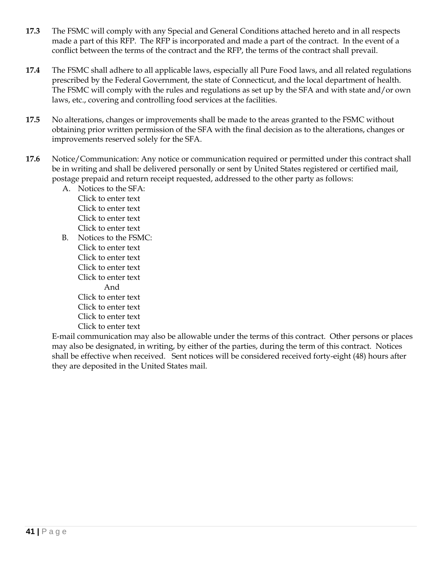- **17.3** The FSMC will comply with any Special and General Conditions attached hereto and in all respects made a part of this RFP. The RFP is incorporated and made a part of the contract. In the event of a conflict between the terms of the contract and the RFP, the terms of the contract shall prevail.
- **17.4** The FSMC shall adhere to all applicable laws, especially all Pure Food laws, and all related regulations prescribed by the Federal Government, the state of Connecticut, and the local department of health. The FSMC will comply with the rules and regulations as set up by the SFA and with state and/or own laws, etc., covering and controlling food services at the facilities.
- **17.5** No alterations, changes or improvements shall be made to the areas granted to the FSMC without obtaining prior written permission of the SFA with the final decision as to the alterations, changes or improvements reserved solely for the SFA.
- **17.6** Notice/Communication: Any notice or communication required or permitted under this contract shall be in writing and shall be delivered personally or sent by United States registered or certified mail, postage prepaid and return receipt requested, addressed to the other party as follows:
	- A. Notices to the SFA: Click to enter text Click to enter text Click to enter text Click to enter text
	- B. Notices to the FSMC: Click to enter text Click to enter text Click to enter text Click to enter text And Click to enter text Click to enter text Click to enter text Click to enter text

E-mail communication may also be allowable under the terms of this contract. Other persons or places may also be designated, in writing, by either of the parties, during the term of this contract. Notices shall be effective when received. Sent notices will be considered received forty-eight (48) hours after they are deposited in the United States mail.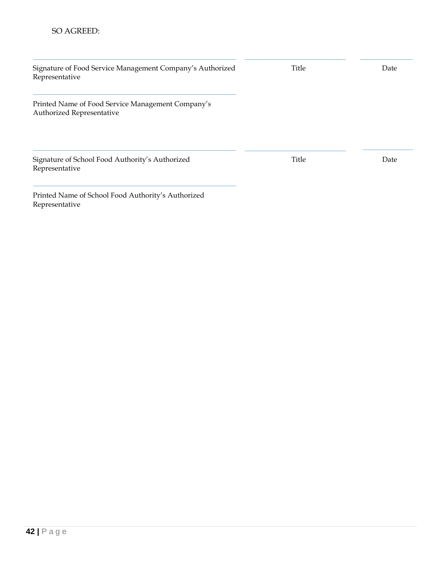| Signature of Food Service Management Company's Authorized<br>Representative    | Title | Date |
|--------------------------------------------------------------------------------|-------|------|
| Printed Name of Food Service Management Company's<br>Authorized Representative |       |      |
| Signature of School Food Authority's Authorized<br>Representative              | Title | Date |
| Printed Name of School Food Authority's Authorized<br>Representative           |       |      |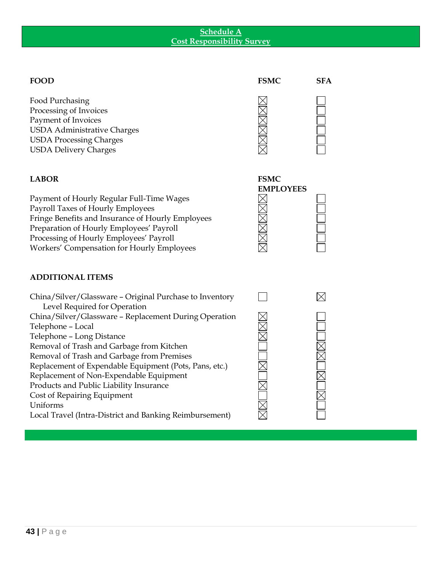#### **Schedule A Cost Responsibility Survey**

| <b>FOOD</b>                               | <b>FSMC</b> | SFA |
|-------------------------------------------|-------------|-----|
| Food Purchasing<br>Processing of Invoices |             |     |
| Payment of Invoices                       |             |     |

| 1 U.V.L |  |
|---------|--|
|         |  |
|         |  |

| Processing of Invoices             |
|------------------------------------|
| Payment of Invoices                |
| <b>USDA Administrative Charges</b> |
| <b>USDA Processing Charges</b>     |
| <b>USDA Delivery Charges</b>       |

# **LABOR FSMC EMPLOYEES** Payment of Hourly Regular Full-Time Wages Payroll Taxes of Hourly Employees Fringe Benefits and Insurance of Hourly Employees Preparation of Hourly Employees' Payroll Processing of Hourly Employees' Payroll Workers' Compensation for Hourly Employees **ADDITIONAL ITEMS**  $\boxtimes$ China/Silver/Glassware – Original Purchase to Inventory  $\Box$ Level Required for Operation China/Silver/Glassware – Replacement During Operation Telephone – Local Telephone – Long Distance Removal of Trash and Garbage from Kitchen IMOMO Removal of Trash and Garbage from Premises Replacement of Expendable Equipment (Pots, Pans, etc.) Replacement of Non-Expendable Equipment Products and Public Liability Insurance Cost of Repairing Equipment Uniforms Local Travel (Intra-District and Banking Reimbursement)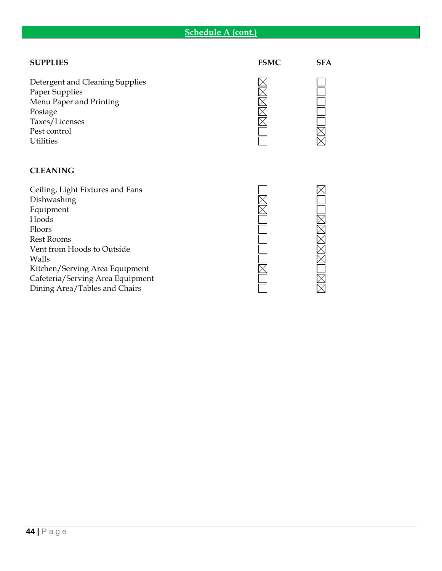| <b>SUPPLIES</b>                                                                                                                                                                                                                                    | <b>FSMC</b> | <b>SFA</b> |
|----------------------------------------------------------------------------------------------------------------------------------------------------------------------------------------------------------------------------------------------------|-------------|------------|
| Detergent and Cleaning Supplies<br>Paper Supplies<br>Menu Paper and Printing<br>Postage<br>Taxes/Licenses<br>Pest control<br><b>Utilities</b>                                                                                                      |             |            |
| <b>CLEANING</b>                                                                                                                                                                                                                                    |             |            |
| Ceiling, Light Fixtures and Fans<br>Dishwashing<br>Equipment<br>Hoods<br>Floors<br><b>Rest Rooms</b><br>Vent from Hoods to Outside<br>Walls<br>Kitchen/Serving Area Equipment<br>Cafeteria/Serving Area Equipment<br>Dining Area/Tables and Chairs |             |            |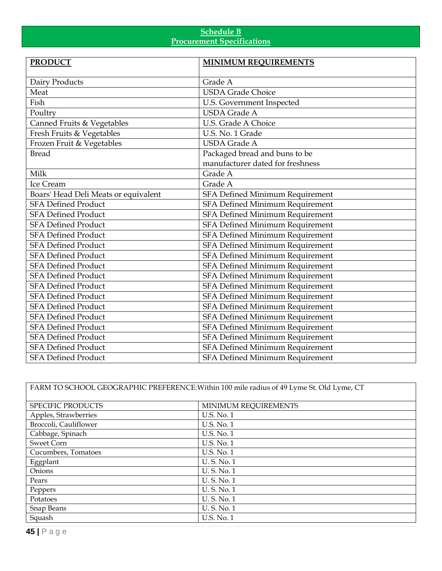#### **Schedule B Procurement Specifications**

| <b>PRODUCT</b>                       | <b>MINIMUM REQUIREMENTS</b>      |
|--------------------------------------|----------------------------------|
|                                      |                                  |
| Dairy Products                       | Grade A                          |
| Meat                                 | <b>USDA Grade Choice</b>         |
| Fish                                 | U.S. Government Inspected        |
| Poultry                              | <b>USDA Grade A</b>              |
| Canned Fruits & Vegetables           | U.S. Grade A Choice              |
| Fresh Fruits & Vegetables            | U.S. No. 1 Grade                 |
| Frozen Fruit & Vegetables            | <b>USDA Grade A</b>              |
| <b>Bread</b>                         | Packaged bread and buns to be    |
|                                      | manufacturer dated for freshness |
| Milk                                 | Grade A                          |
| <b>Ice Cream</b>                     | Grade A                          |
| Boars' Head Deli Meats or equivalent | SFA Defined Minimum Requirement  |
| <b>SFA Defined Product</b>           | SFA Defined Minimum Requirement  |
| <b>SFA Defined Product</b>           | SFA Defined Minimum Requirement  |
| <b>SFA Defined Product</b>           | SFA Defined Minimum Requirement  |
| <b>SFA Defined Product</b>           | SFA Defined Minimum Requirement  |
| <b>SFA Defined Product</b>           | SFA Defined Minimum Requirement  |
| <b>SFA Defined Product</b>           | SFA Defined Minimum Requirement  |
| <b>SFA Defined Product</b>           | SFA Defined Minimum Requirement  |
| <b>SFA Defined Product</b>           | SFA Defined Minimum Requirement  |
| <b>SFA Defined Product</b>           | SFA Defined Minimum Requirement  |
| <b>SFA Defined Product</b>           | SFA Defined Minimum Requirement  |
| <b>SFA Defined Product</b>           | SFA Defined Minimum Requirement  |
| <b>SFA Defined Product</b>           | SFA Defined Minimum Requirement  |
| <b>SFA</b> Defined Product           | SFA Defined Minimum Requirement  |
| <b>SFA Defined Product</b>           | SFA Defined Minimum Requirement  |
| <b>SFA Defined Product</b>           | SFA Defined Minimum Requirement  |
| <b>SFA Defined Product</b>           | SFA Defined Minimum Requirement  |

| FARM TO SCHOOL GEOGRAPHIC PREFERENCE: Within 100 mile radius of 49 Lyme St. Old Lyme, CT |                      |  |
|------------------------------------------------------------------------------------------|----------------------|--|
| SPECIFIC PRODUCTS                                                                        | MINIMUM REQUIREMENTS |  |
| Apples, Strawberries                                                                     | <b>U.S. No. 1</b>    |  |
| Broccoli, Cauliflower                                                                    | <b>U.S. No. 1</b>    |  |
| Cabbage, Spinach                                                                         | <b>U.S. No. 1</b>    |  |
| Sweet Corn                                                                               | <b>U.S. No. 1</b>    |  |
| Cucumbers, Tomatoes                                                                      | <b>U.S. No. 1</b>    |  |
| Eggplant                                                                                 | U.S. No. 1           |  |
| Onions                                                                                   | U.S. No. 1           |  |
| Pears                                                                                    | U.S. No. 1           |  |
| Peppers                                                                                  | U.S. No. 1           |  |
| Potatoes                                                                                 | U.S. No. 1           |  |
| Snap Beans                                                                               | U.S. No. 1           |  |
| Squash                                                                                   | <b>U.S. No. 1</b>    |  |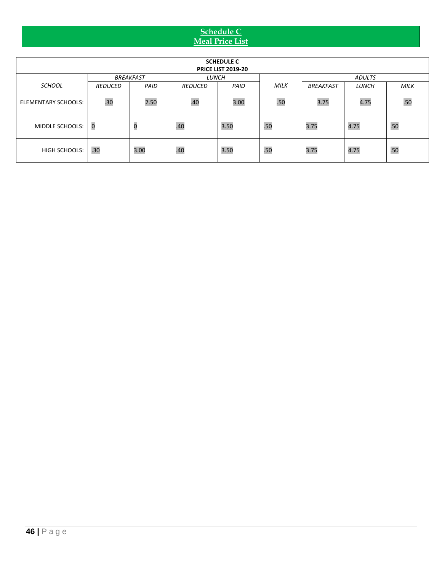#### **Schedule C Meal Price List**

| <b>SCHEDULE C</b><br><b>PRICE LIST 2019-20</b> |                |                                  |                |      |               |                  |       |             |
|------------------------------------------------|----------------|----------------------------------|----------------|------|---------------|------------------|-------|-------------|
|                                                |                | <b>BREAKFAST</b><br><b>LUNCH</b> |                |      | <b>ADULTS</b> |                  |       |             |
| <b>SCHOOL</b>                                  | <b>REDUCED</b> | PAID                             | <b>REDUCED</b> | PAID | <b>MILK</b>   | <b>BREAKFAST</b> | LUNCH | <b>MILK</b> |
| ELEMENTARY SCHOOLS:                            | .30            | 2.50                             | .40            | 3.00 | .50           | 3.75             | 4.75  | .50         |
| MIDDLE SCHOOLS:                                | $\overline{0}$ | $\mathbf{0}$                     | .40            | 3.50 | .50           | 3.75             | 4.75  | .50         |
| <b>HIGH SCHOOLS:</b>                           | .30            | 3.00                             | .40            | 3.50 | .50           | 3.75             | 4.75  | .50         |